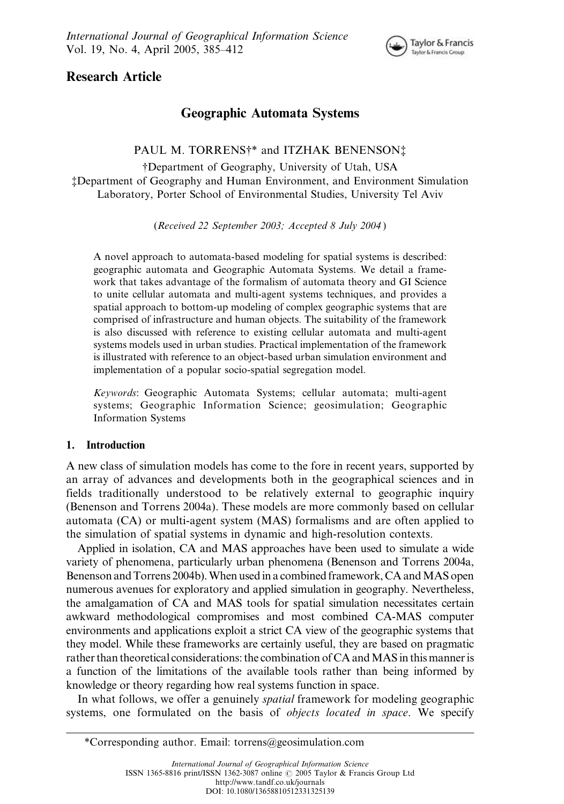

# Research Article

# Geographic Automata Systems

# PAUL M. TORRENS<sup>†\*</sup> and ITZHAK BENENSON<sup>\*</sup>

{Department of Geography, University of Utah, USA {Department of Geography and Human Environment, and Environment Simulation Laboratory, Porter School of Environmental Studies, University Tel Aviv

(Received 22 September 2003; Accepted 8 July 2004 )

A novel approach to automata-based modeling for spatial systems is described: geographic automata and Geographic Automata Systems. We detail a framework that takes advantage of the formalism of automata theory and GI Science to unite cellular automata and multi-agent systems techniques, and provides a spatial approach to bottom-up modeling of complex geographic systems that are comprised of infrastructure and human objects. The suitability of the framework is also discussed with reference to existing cellular automata and multi-agent systems models used in urban studies. Practical implementation of the framework is illustrated with reference to an object-based urban simulation environment and implementation of a popular socio-spatial segregation model.

Keywords: Geographic Automata Systems; cellular automata; multi-agent systems; Geographic Information Science; geosimulation; Geographic Information Systems

# 1. Introduction

A new class of simulation models has come to the fore in recent years, supported by an array of advances and developments both in the geographical sciences and in fields traditionally understood to be relatively external to geographic inquiry (Benenson and Torrens 2004a). These models are more commonly based on cellular automata (CA) or multi-agent system (MAS) formalisms and are often applied to the simulation of spatial systems in dynamic and high-resolution contexts.

Applied in isolation, CA and MAS approaches have been used to simulate a wide variety of phenomena, particularly urban phenomena (Benenson and Torrens 2004a, Benenson and Torrens 2004b). When used in a combined framework, CA and MAS open numerous avenues for exploratory and applied simulation in geography. Nevertheless, the amalgamation of CA and MAS tools for spatial simulation necessitates certain awkward methodological compromises and most combined CA-MAS computer environments and applications exploit a strict CA view of the geographic systems that they model. While these frameworks are certainly useful, they are based on pragmatic rather than theoretical considerations: the combination of CA and MAS in this manner is a function of the limitations of the available tools rather than being informed by knowledge or theory regarding how real systems function in space.

In what follows, we offer a genuinely spatial framework for modeling geographic systems, one formulated on the basis of *objects located in space*. We specify

<sup>\*</sup>Corresponding author. Email: torrens@geosimulation.com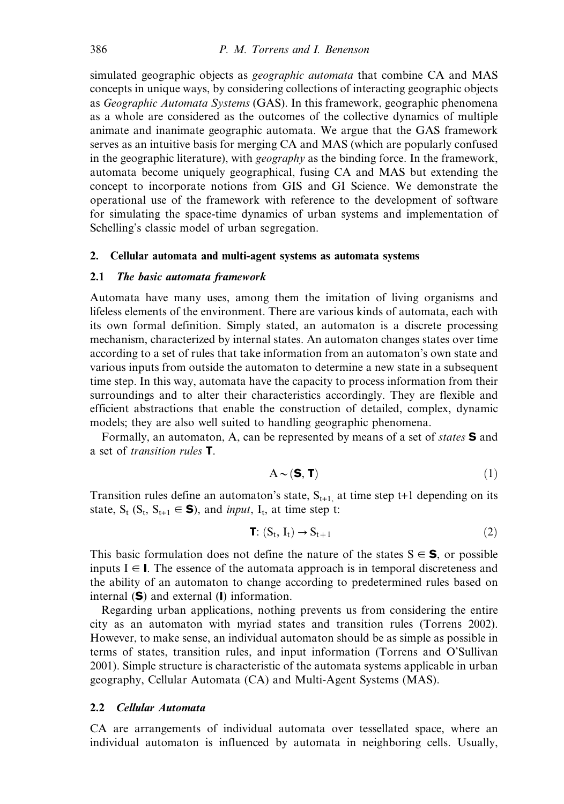simulated geographic objects as *geographic automata* that combine CA and MAS concepts in unique ways, by considering collections of interacting geographic objects as Geographic Automata Systems (GAS). In this framework, geographic phenomena as a whole are considered as the outcomes of the collective dynamics of multiple animate and inanimate geographic automata. We argue that the GAS framework serves as an intuitive basis for merging CA and MAS (which are popularly confused in the geographic literature), with *geography* as the binding force. In the framework, automata become uniquely geographical, fusing CA and MAS but extending the concept to incorporate notions from GIS and GI Science. We demonstrate the operational use of the framework with reference to the development of software for simulating the space-time dynamics of urban systems and implementation of Schelling's classic model of urban segregation.

#### 2. Cellular automata and multi-agent systems as automata systems

#### 2.1 The basic automata framework

Automata have many uses, among them the imitation of living organisms and lifeless elements of the environment. There are various kinds of automata, each with its own formal definition. Simply stated, an automaton is a discrete processing mechanism, characterized by internal states. An automaton changes states over time according to a set of rules that take information from an automaton's own state and various inputs from outside the automaton to determine a new state in a subsequent time step. In this way, automata have the capacity to process information from their surroundings and to alter their characteristics accordingly. They are flexible and efficient abstractions that enable the construction of detailed, complex, dynamic models; they are also well suited to handling geographic phenomena.

Formally, an automaton, A, can be represented by means of a set of states S and a set of transition rules T.

$$
A \sim (\textbf{S}, \textbf{T}) \tag{1}
$$

Transition rules define an automaton's state,  $S_{t+1}$ , at time step t+1 depending on its state,  $S_t$  ( $S_t$ ,  $S_{t+1} \in S$ ), and *input*,  $I_t$ , at time step t:

$$
\mathbf{T}: (\mathbf{S}_t, \mathbf{I}_t) \to \mathbf{S}_{t+1} \tag{2}
$$

This basic formulation does not define the nature of the states  $S \in \mathbf{S}$ , or possible inputs  $I \in I$ . The essence of the automata approach is in temporal discreteness and the ability of an automaton to change according to predetermined rules based on internal (S) and external (I) information.

Regarding urban applications, nothing prevents us from considering the entire city as an automaton with myriad states and transition rules (Torrens 2002). However, to make sense, an individual automaton should be as simple as possible in terms of states, transition rules, and input information (Torrens and O'Sullivan 2001). Simple structure is characteristic of the automata systems applicable in urban geography, Cellular Automata (CA) and Multi-Agent Systems (MAS).

#### 2.2 Cellular Automata

CA are arrangements of individual automata over tessellated space, where an individual automaton is influenced by automata in neighboring cells. Usually,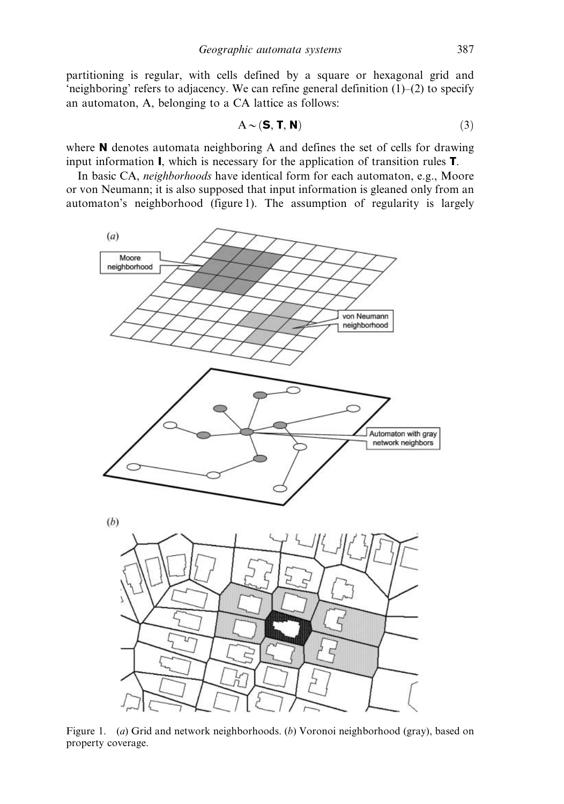partitioning is regular, with cells defined by a square or hexagonal grid and 'neighboring' refers to adjacency. We can refine general definition  $(1)$ – $(2)$  to specify an automaton, A, belonging to a CA lattice as follows:

$$
A \sim (\textbf{S}, \textbf{T}, \textbf{N}) \tag{3}
$$

where **N** denotes automata neighboring A and defines the set of cells for drawing input information I, which is necessary for the application of transition rules T.

In basic CA, neighborhoods have identical form for each automaton, e.g., Moore or von Neumann; it is also supposed that input information is gleaned only from an automaton's neighborhood (figure 1). The assumption of regularity is largely



Figure 1. (a) Grid and network neighborhoods. (b) Voronoi neighborhood (gray), based on property coverage.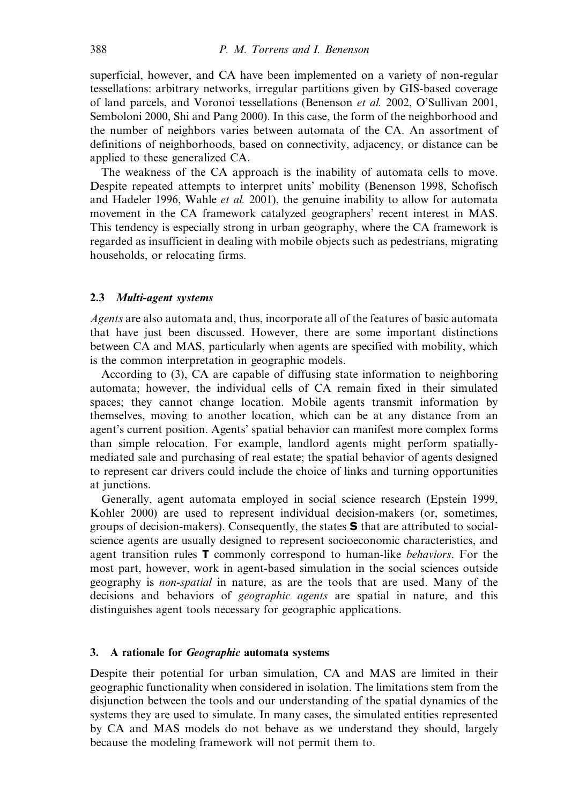superficial, however, and CA have been implemented on a variety of non-regular tessellations: arbitrary networks, irregular partitions given by GIS-based coverage of land parcels, and Voronoi tessellations (Benenson et al. 2002, O'Sullivan 2001, Semboloni 2000, Shi and Pang 2000). In this case, the form of the neighborhood and the number of neighbors varies between automata of the CA. An assortment of definitions of neighborhoods, based on connectivity, adjacency, or distance can be applied to these generalized CA.

The weakness of the CA approach is the inability of automata cells to move. Despite repeated attempts to interpret units' mobility (Benenson 1998, Schofisch and Hadeler 1996, Wahle et al. 2001), the genuine inability to allow for automata movement in the CA framework catalyzed geographers' recent interest in MAS. This tendency is especially strong in urban geography, where the CA framework is regarded as insufficient in dealing with mobile objects such as pedestrians, migrating households, or relocating firms.

#### 2.3 Multi-agent systems

Agents are also automata and, thus, incorporate all of the features of basic automata that have just been discussed. However, there are some important distinctions between CA and MAS, particularly when agents are specified with mobility, which is the common interpretation in geographic models.

According to (3), CA are capable of diffusing state information to neighboring automata; however, the individual cells of CA remain fixed in their simulated spaces; they cannot change location. Mobile agents transmit information by themselves, moving to another location, which can be at any distance from an agent's current position. Agents' spatial behavior can manifest more complex forms than simple relocation. For example, landlord agents might perform spatiallymediated sale and purchasing of real estate; the spatial behavior of agents designed to represent car drivers could include the choice of links and turning opportunities at junctions.

Generally, agent automata employed in social science research (Epstein 1999, Kohler 2000) are used to represent individual decision-makers (or, sometimes, groups of decision-makers). Consequently, the states S that are attributed to socialscience agents are usually designed to represent socioeconomic characteristics, and agent transition rules T commonly correspond to human-like behaviors. For the most part, however, work in agent-based simulation in the social sciences outside geography is non-spatial in nature, as are the tools that are used. Many of the decisions and behaviors of geographic agents are spatial in nature, and this distinguishes agent tools necessary for geographic applications.

#### 3. A rationale for *Geographic* automata systems

Despite their potential for urban simulation, CA and MAS are limited in their geographic functionality when considered in isolation. The limitations stem from the disjunction between the tools and our understanding of the spatial dynamics of the systems they are used to simulate. In many cases, the simulated entities represented by CA and MAS models do not behave as we understand they should, largely because the modeling framework will not permit them to.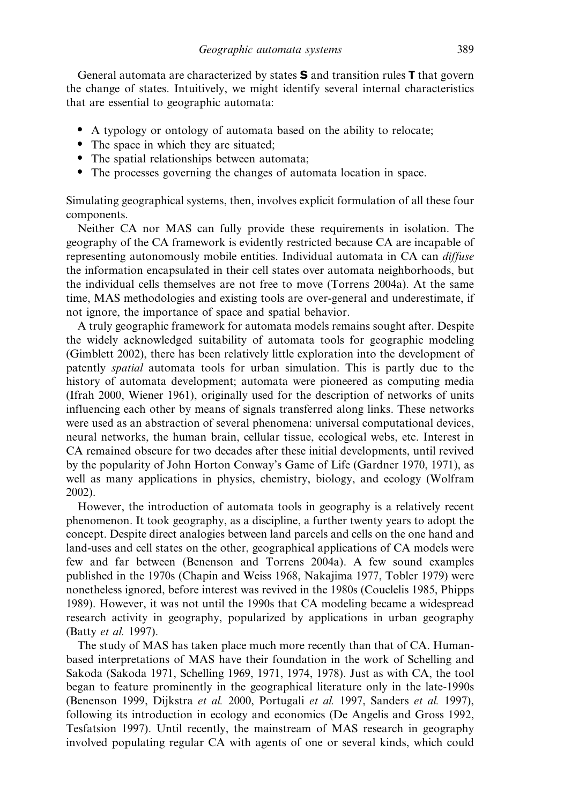General automata are characterized by states S and transition rules T that govern the change of states. Intuitively, we might identify several internal characteristics that are essential to geographic automata:

- A typology or ontology of automata based on the ability to relocate;
- The space in which they are situated;
- The spatial relationships between automata;
- The processes governing the changes of automata location in space.

Simulating geographical systems, then, involves explicit formulation of all these four components.

Neither CA nor MAS can fully provide these requirements in isolation. The geography of the CA framework is evidently restricted because CA are incapable of representing autonomously mobile entities. Individual automata in CA can *diffuse* the information encapsulated in their cell states over automata neighborhoods, but the individual cells themselves are not free to move (Torrens 2004a). At the same time, MAS methodologies and existing tools are over-general and underestimate, if not ignore, the importance of space and spatial behavior.

A truly geographic framework for automata models remains sought after. Despite the widely acknowledged suitability of automata tools for geographic modeling (Gimblett 2002), there has been relatively little exploration into the development of patently spatial automata tools for urban simulation. This is partly due to the history of automata development; automata were pioneered as computing media (Ifrah 2000, Wiener 1961), originally used for the description of networks of units influencing each other by means of signals transferred along links. These networks were used as an abstraction of several phenomena: universal computational devices, neural networks, the human brain, cellular tissue, ecological webs, etc. Interest in CA remained obscure for two decades after these initial developments, until revived by the popularity of John Horton Conway's Game of Life (Gardner 1970, 1971), as well as many applications in physics, chemistry, biology, and ecology (Wolfram 2002).

However, the introduction of automata tools in geography is a relatively recent phenomenon. It took geography, as a discipline, a further twenty years to adopt the concept. Despite direct analogies between land parcels and cells on the one hand and land-uses and cell states on the other, geographical applications of CA models were few and far between (Benenson and Torrens 2004a). A few sound examples published in the 1970s (Chapin and Weiss 1968, Nakajima 1977, Tobler 1979) were nonetheless ignored, before interest was revived in the 1980s (Couclelis 1985, Phipps 1989). However, it was not until the 1990s that CA modeling became a widespread research activity in geography, popularized by applications in urban geography (Batty et al. 1997).

The study of MAS has taken place much more recently than that of CA. Humanbased interpretations of MAS have their foundation in the work of Schelling and Sakoda (Sakoda 1971, Schelling 1969, 1971, 1974, 1978). Just as with CA, the tool began to feature prominently in the geographical literature only in the late-1990s (Benenson 1999, Dijkstra et al. 2000, Portugali et al. 1997, Sanders et al. 1997), following its introduction in ecology and economics (De Angelis and Gross 1992, Tesfatsion 1997). Until recently, the mainstream of MAS research in geography involved populating regular CA with agents of one or several kinds, which could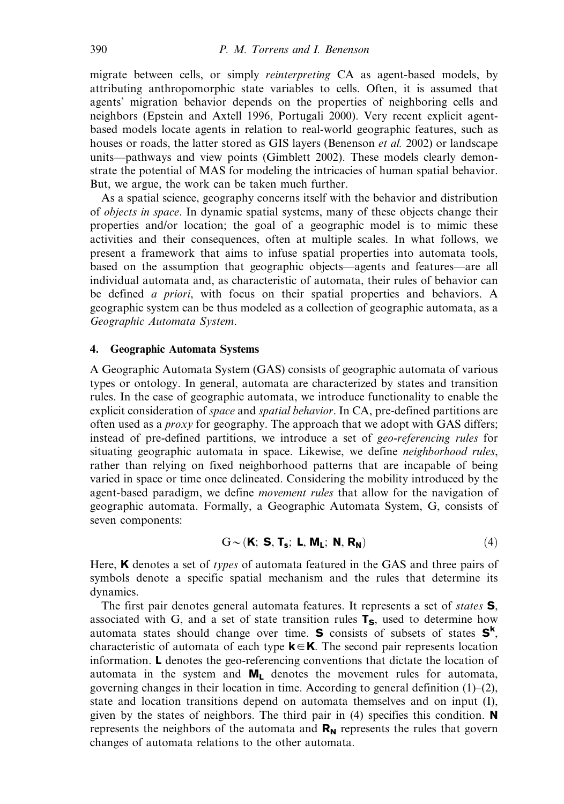migrate between cells, or simply reinterpreting CA as agent-based models, by attributing anthropomorphic state variables to cells. Often, it is assumed that agents' migration behavior depends on the properties of neighboring cells and neighbors (Epstein and Axtell 1996, Portugali 2000). Very recent explicit agentbased models locate agents in relation to real-world geographic features, such as houses or roads, the latter stored as GIS layers (Benenson et al. 2002) or landscape units—pathways and view points (Gimblett 2002). These models clearly demonstrate the potential of MAS for modeling the intricacies of human spatial behavior. But, we argue, the work can be taken much further.

As a spatial science, geography concerns itself with the behavior and distribution of objects in space. In dynamic spatial systems, many of these objects change their properties and/or location; the goal of a geographic model is to mimic these activities and their consequences, often at multiple scales. In what follows, we present a framework that aims to infuse spatial properties into automata tools, based on the assumption that geographic objects—agents and features—are all individual automata and, as characteristic of automata, their rules of behavior can be defined *a priori*, with focus on their spatial properties and behaviors. A geographic system can be thus modeled as a collection of geographic automata, as a Geographic Automata System.

#### 4. Geographic Automata Systems

A Geographic Automata System (GAS) consists of geographic automata of various types or ontology. In general, automata are characterized by states and transition rules. In the case of geographic automata, we introduce functionality to enable the explicit consideration of *space* and *spatial behavior*. In CA, pre-defined partitions are often used as a proxy for geography. The approach that we adopt with GAS differs; instead of pre-defined partitions, we introduce a set of geo-referencing rules for situating geographic automata in space. Likewise, we define neighborhood rules, rather than relying on fixed neighborhood patterns that are incapable of being varied in space or time once delineated. Considering the mobility introduced by the agent-based paradigm, we define movement rules that allow for the navigation of geographic automata. Formally, a Geographic Automata System, G, consists of seven components:

$$
G \sim (\mathbf{K}; \mathbf{S}, \mathbf{T_s}; \mathbf{L}, \mathbf{M_L}; \mathbf{N}, \mathbf{R_N})
$$
\n(4)

Here, K denotes a set of types of automata featured in the GAS and three pairs of symbols denote a specific spatial mechanism and the rules that determine its dynamics.

The first pair denotes general automata features. It represents a set of *states* S, associated with G, and a set of state transition rules  $T<sub>s</sub>$ , used to determine how automata states should change over time.  $S$  consists of subsets of states  $S^k$ , characteristic of automata of each type  $k \in K$ . The second pair represents location information. L denotes the geo-referencing conventions that dictate the location of automata in the system and  $M<sub>L</sub>$  denotes the movement rules for automata, governing changes in their location in time. According to general definition  $(1)$ – $(2)$ , state and location transitions depend on automata themselves and on input (I), given by the states of neighbors. The third pair in  $(4)$  specifies this condition. **N** represents the neighbors of the automata and  $R_N$  represents the rules that govern changes of automata relations to the other automata.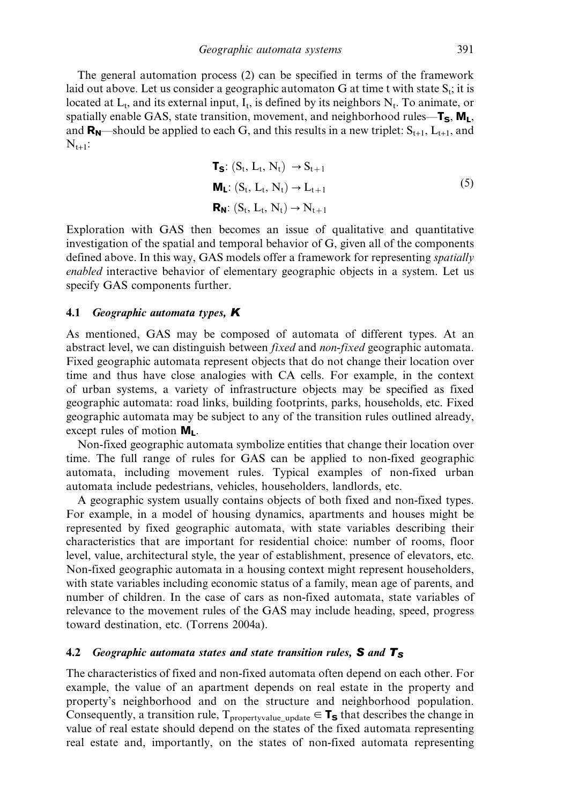The general automation process (2) can be specified in terms of the framework laid out above. Let us consider a geographic automaton G at time t with state  $S_t$ ; it is located at  $L_t$ , and its external input,  $I_t$ , is defined by its neighbors  $N_t$ . To animate, or spatially enable GAS, state transition, movement, and neighborhood rules— $T_s$ ,  $M_l$ , and  $R_N$ —should be applied to each G, and this results in a new triplet:  $S_{t+1}$ ,  $L_{t+1}$ , and  $N_{t+1}$ :

$$
\mathbf{T}_{\mathbf{S}}: (S_t, L_t, N_t) \rightarrow S_{t+1}
$$
\n
$$
\mathbf{M}_{\mathbf{L}}: (S_t, L_t, N_t) \rightarrow L_{t+1}
$$
\n
$$
\mathbf{R}_{\mathbf{N}}: (S_t, L_t, N_t) \rightarrow N_{t+1}
$$
\n(5)

Exploration with GAS then becomes an issue of qualitative and quantitative investigation of the spatial and temporal behavior of G, given all of the components defined above. In this way, GAS models offer a framework for representing *spatially* enabled interactive behavior of elementary geographic objects in a system. Let us specify GAS components further.

#### **4.1** Geographic automata types,  $\boldsymbol{K}$

As mentioned, GAS may be composed of automata of different types. At an abstract level, we can distinguish between *fixed* and *non-fixed* geographic automata. Fixed geographic automata represent objects that do not change their location over time and thus have close analogies with CA cells. For example, in the context of urban systems, a variety of infrastructure objects may be specified as fixed geographic automata: road links, building footprints, parks, households, etc. Fixed geographic automata may be subject to any of the transition rules outlined already, except rules of motion  $M<sub>L</sub>$ .

Non-fixed geographic automata symbolize entities that change their location over time. The full range of rules for GAS can be applied to non-fixed geographic automata, including movement rules. Typical examples of non-fixed urban automata include pedestrians, vehicles, householders, landlords, etc.

A geographic system usually contains objects of both fixed and non-fixed types. For example, in a model of housing dynamics, apartments and houses might be represented by fixed geographic automata, with state variables describing their characteristics that are important for residential choice: number of rooms, floor level, value, architectural style, the year of establishment, presence of elevators, etc. Non-fixed geographic automata in a housing context might represent householders, with state variables including economic status of a family, mean age of parents, and number of children. In the case of cars as non-fixed automata, state variables of relevance to the movement rules of the GAS may include heading, speed, progress toward destination, etc. (Torrens 2004a).

#### 4.2 Geographic automata states and state transition rules, S and  $T_s$

The characteristics of fixed and non-fixed automata often depend on each other. For example, the value of an apartment depends on real estate in the property and property's neighborhood and on the structure and neighborhood population. Consequently, a transition rule,  $T_{\text{propertyvalue\_update}} \in T_s$  that describes the change in value of real estate should depend on the states of the fixed automata representing real estate and, importantly, on the states of non-fixed automata representing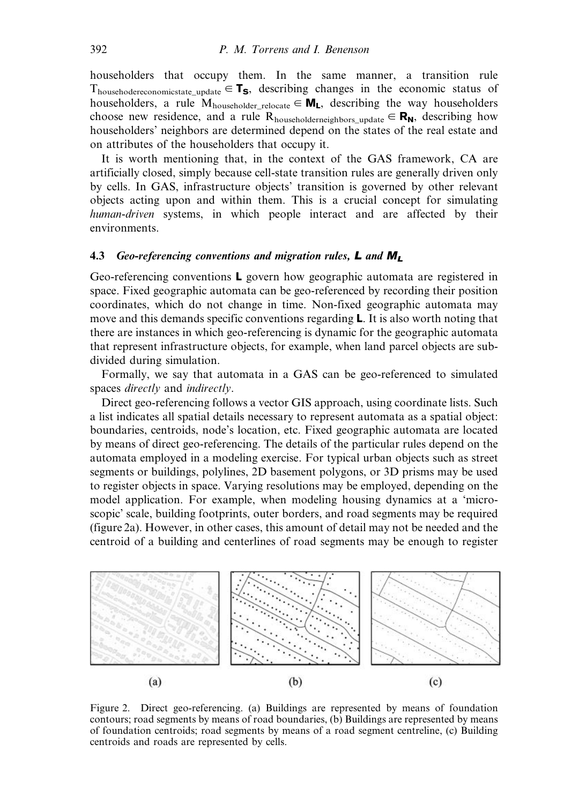householders that occupy them. In the same manner, a transition rule Thousehodereconomicstate update  $\epsilon \mathbf{T}_s$ , describing changes in the economic status of householders, a rule  $M_{\text{householder\_relocate}} \in M_L$ , describing the way householders choose new residence, and a rule R<sub>householderneighbors</sub> update  $\in \mathbf{R}_N$ , describing how householders' neighbors are determined depend on the states of the real estate and on attributes of the householders that occupy it.

It is worth mentioning that, in the context of the GAS framework, CA are artificially closed, simply because cell-state transition rules are generally driven only by cells. In GAS, infrastructure objects' transition is governed by other relevant objects acting upon and within them. This is a crucial concept for simulating human-driven systems, in which people interact and are affected by their environments.

#### 4.3 Geo-referencing conventions and migration rules,  $\boldsymbol{L}$  and  $\boldsymbol{M_L}$

Geo-referencing conventions L govern how geographic automata are registered in space. Fixed geographic automata can be geo-referenced by recording their position coordinates, which do not change in time. Non-fixed geographic automata may move and this demands specific conventions regarding L. It is also worth noting that there are instances in which geo-referencing is dynamic for the geographic automata that represent infrastructure objects, for example, when land parcel objects are subdivided during simulation.

Formally, we say that automata in a GAS can be geo-referenced to simulated spaces *directly* and *indirectly*.

Direct geo-referencing follows a vector GIS approach, using coordinate lists. Such a list indicates all spatial details necessary to represent automata as a spatial object: boundaries, centroids, node's location, etc. Fixed geographic automata are located by means of direct geo-referencing. The details of the particular rules depend on the automata employed in a modeling exercise. For typical urban objects such as street segments or buildings, polylines, 2D basement polygons, or 3D prisms may be used to register objects in space. Varying resolutions may be employed, depending on the model application. For example, when modeling housing dynamics at a 'microscopic' scale, building footprints, outer borders, and road segments may be required (figure 2a). However, in other cases, this amount of detail may not be needed and the centroid of a building and centerlines of road segments may be enough to register



Figure 2. Direct geo-referencing. (a) Buildings are represented by means of foundation contours; road segments by means of road boundaries, (b) Buildings are represented by means of foundation centroids; road segments by means of a road segment centreline, (c) Building centroids and roads are represented by cells.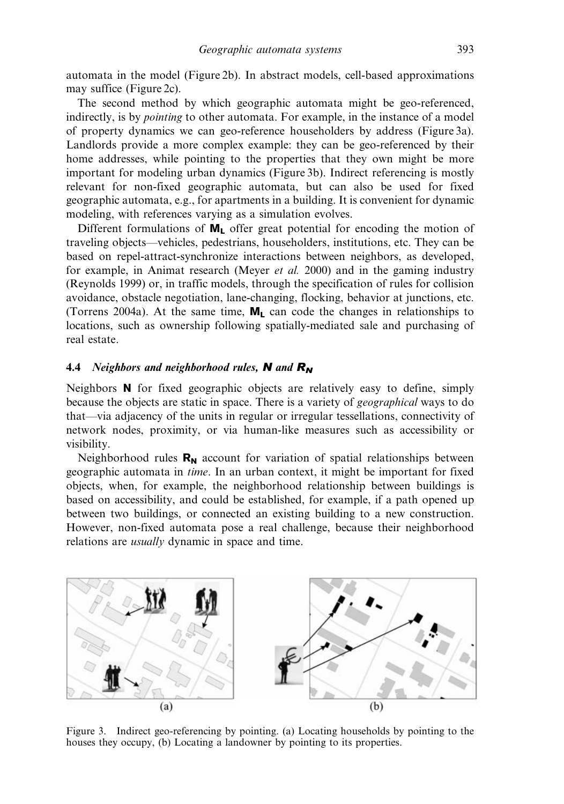automata in the model (Figure 2b). In abstract models, cell-based approximations may suffice (Figure 2c).

The second method by which geographic automata might be geo-referenced, indirectly, is by *pointing* to other automata. For example, in the instance of a model of property dynamics we can geo-reference householders by address (Figure 3a). Landlords provide a more complex example: they can be geo-referenced by their home addresses, while pointing to the properties that they own might be more important for modeling urban dynamics (Figure 3b). Indirect referencing is mostly relevant for non-fixed geographic automata, but can also be used for fixed geographic automata, e.g., for apartments in a building. It is convenient for dynamic modeling, with references varying as a simulation evolves.

Different formulations of  $M<sub>L</sub>$  offer great potential for encoding the motion of traveling objects—vehicles, pedestrians, householders, institutions, etc. They can be based on repel-attract-synchronize interactions between neighbors, as developed, for example, in Animat research (Meyer et al. 2000) and in the gaming industry (Reynolds 1999) or, in traffic models, through the specification of rules for collision avoidance, obstacle negotiation, lane-changing, flocking, behavior at junctions, etc. (Torrens 2004a). At the same time,  $\mathbf{M}_1$  can code the changes in relationships to locations, such as ownership following spatially-mediated sale and purchasing of real estate.

## 4.4 Neighbors and neighborhood rules, **N** and  $R_N$

Neighbors N for fixed geographic objects are relatively easy to define, simply because the objects are static in space. There is a variety of geographical ways to do that—via adjacency of the units in regular or irregular tessellations, connectivity of network nodes, proximity, or via human-like measures such as accessibility or visibility.

Neighborhood rules  $R_N$  account for variation of spatial relationships between geographic automata in time. In an urban context, it might be important for fixed objects, when, for example, the neighborhood relationship between buildings is based on accessibility, and could be established, for example, if a path opened up between two buildings, or connected an existing building to a new construction. However, non-fixed automata pose a real challenge, because their neighborhood relations are usually dynamic in space and time.



Figure 3. Indirect geo-referencing by pointing. (a) Locating households by pointing to the houses they occupy, (b) Locating a landowner by pointing to its properties.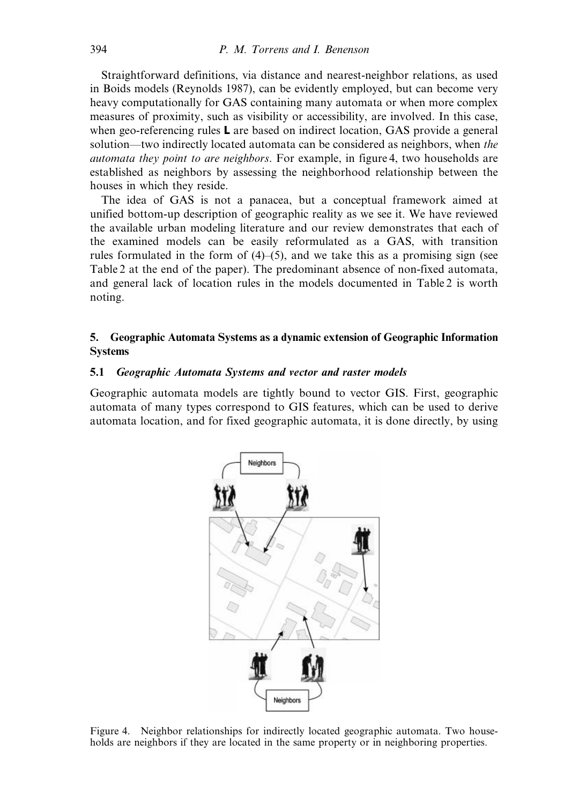Straightforward definitions, via distance and nearest-neighbor relations, as used in Boids models (Reynolds 1987), can be evidently employed, but can become very heavy computationally for GAS containing many automata or when more complex measures of proximity, such as visibility or accessibility, are involved. In this case, when geo-referencing rules L are based on indirect location, GAS provide a general solution—two indirectly located automata can be considered as neighbors, when the automata they point to are neighbors. For example, in figure 4, two households are established as neighbors by assessing the neighborhood relationship between the houses in which they reside.

The idea of GAS is not a panacea, but a conceptual framework aimed at unified bottom-up description of geographic reality as we see it. We have reviewed the available urban modeling literature and our review demonstrates that each of the examined models can be easily reformulated as a GAS, with transition rules formulated in the form of  $(4)$ – $(5)$ , and we take this as a promising sign (see Table 2 at the end of the paper). The predominant absence of non-fixed automata, and general lack of location rules in the models documented in Table 2 is worth noting.

# 5. Geographic Automata Systems as a dynamic extension of Geographic Information **Systems**

#### 5.1 Geographic Automata Systems and vector and raster models

Geographic automata models are tightly bound to vector GIS. First, geographic automata of many types correspond to GIS features, which can be used to derive automata location, and for fixed geographic automata, it is done directly, by using



Figure 4. Neighbor relationships for indirectly located geographic automata. Two households are neighbors if they are located in the same property or in neighboring properties.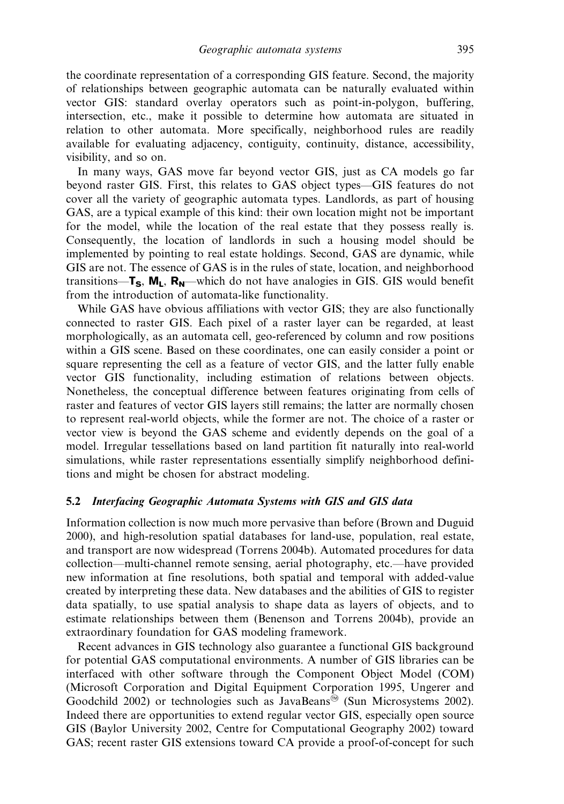the coordinate representation of a corresponding GIS feature. Second, the majority of relationships between geographic automata can be naturally evaluated within vector GIS: standard overlay operators such as point-in-polygon, buffering, intersection, etc., make it possible to determine how automata are situated in relation to other automata. More specifically, neighborhood rules are readily available for evaluating adjacency, contiguity, continuity, distance, accessibility, visibility, and so on.

In many ways, GAS move far beyond vector GIS, just as CA models go far beyond raster GIS. First, this relates to GAS object types—GIS features do not cover all the variety of geographic automata types. Landlords, as part of housing GAS, are a typical example of this kind: their own location might not be important for the model, while the location of the real estate that they possess really is. Consequently, the location of landlords in such a housing model should be implemented by pointing to real estate holdings. Second, GAS are dynamic, while GIS are not. The essence of GAS is in the rules of state, location, and neighborhood transitions— $T_s$ ,  $M_L$ ,  $R_N$ —which do not have analogies in GIS. GIS would benefit from the introduction of automata-like functionality.

While GAS have obvious affiliations with vector GIS; they are also functionally connected to raster GIS. Each pixel of a raster layer can be regarded, at least morphologically, as an automata cell, geo-referenced by column and row positions within a GIS scene. Based on these coordinates, one can easily consider a point or square representing the cell as a feature of vector GIS, and the latter fully enable vector GIS functionality, including estimation of relations between objects. Nonetheless, the conceptual difference between features originating from cells of raster and features of vector GIS layers still remains; the latter are normally chosen to represent real-world objects, while the former are not. The choice of a raster or vector view is beyond the GAS scheme and evidently depends on the goal of a model. Irregular tessellations based on land partition fit naturally into real-world simulations, while raster representations essentially simplify neighborhood definitions and might be chosen for abstract modeling.

## 5.2 Interfacing Geographic Automata Systems with GIS and GIS data

Information collection is now much more pervasive than before (Brown and Duguid 2000), and high-resolution spatial databases for land-use, population, real estate, and transport are now widespread (Torrens 2004b). Automated procedures for data collection—multi-channel remote sensing, aerial photography, etc.—have provided new information at fine resolutions, both spatial and temporal with added-value created by interpreting these data. New databases and the abilities of GIS to register data spatially, to use spatial analysis to shape data as layers of objects, and to estimate relationships between them (Benenson and Torrens 2004b), provide an extraordinary foundation for GAS modeling framework.

Recent advances in GIS technology also guarantee a functional GIS background for potential GAS computational environments. A number of GIS libraries can be interfaced with other software through the Component Object Model (COM) (Microsoft Corporation and Digital Equipment Corporation 1995, Ungerer and Goodchild 2002) or technologies such as JavaBeans<sup>®</sup> (Sun Microsystems 2002). Indeed there are opportunities to extend regular vector GIS, especially open source GIS (Baylor University 2002, Centre for Computational Geography 2002) toward GAS; recent raster GIS extensions toward CA provide a proof-of-concept for such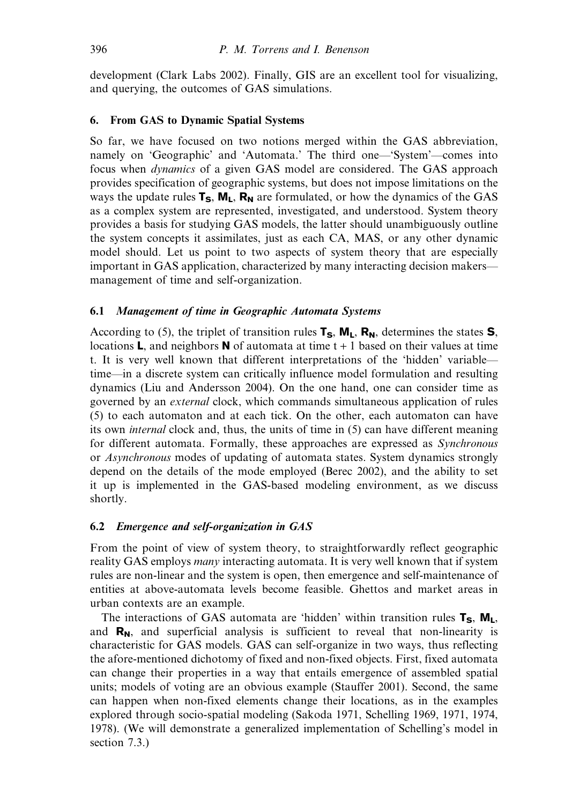development (Clark Labs 2002). Finally, GIS are an excellent tool for visualizing, and querying, the outcomes of GAS simulations.

# 6. From GAS to Dynamic Spatial Systems

So far, we have focused on two notions merged within the GAS abbreviation, namely on 'Geographic' and 'Automata.' The third one—'System'—comes into focus when dynamics of a given GAS model are considered. The GAS approach provides specification of geographic systems, but does not impose limitations on the ways the update rules  $T_s$ ,  $M_L$ ,  $R_N$  are formulated, or how the dynamics of the GAS as a complex system are represented, investigated, and understood. System theory provides a basis for studying GAS models, the latter should unambiguously outline the system concepts it assimilates, just as each CA, MAS, or any other dynamic model should. Let us point to two aspects of system theory that are especially important in GAS application, characterized by many interacting decision makers management of time and self-organization.

## 6.1 Management of time in Geographic Automata Systems

According to (5), the triplet of transition rules  $T_s$ ,  $M_L$ ,  $R_N$ , determines the states **S**, locations **L**, and neighbors **N** of automata at time  $t + 1$  based on their values at time t. It is very well known that different interpretations of the 'hidden' variable time—in a discrete system can critically influence model formulation and resulting dynamics (Liu and Andersson 2004). On the one hand, one can consider time as governed by an external clock, which commands simultaneous application of rules (5) to each automaton and at each tick. On the other, each automaton can have its own *internal* clock and, thus, the units of time in (5) can have different meaning for different automata. Formally, these approaches are expressed as Synchronous or Asynchronous modes of updating of automata states. System dynamics strongly depend on the details of the mode employed (Berec 2002), and the ability to set it up is implemented in the GAS-based modeling environment, as we discuss shortly.

# 6.2 Emergence and self-organization in GAS

From the point of view of system theory, to straightforwardly reflect geographic reality GAS employs *many* interacting automata. It is very well known that if system rules are non-linear and the system is open, then emergence and self-maintenance of entities at above-automata levels become feasible. Ghettos and market areas in urban contexts are an example.

The interactions of GAS automata are 'hidden' within transition rules  $T_s$ ,  $M_L$ , and  $R_N$ , and superficial analysis is sufficient to reveal that non-linearity is characteristic for GAS models. GAS can self-organize in two ways, thus reflecting the afore-mentioned dichotomy of fixed and non-fixed objects. First, fixed automata can change their properties in a way that entails emergence of assembled spatial units; models of voting are an obvious example (Stauffer 2001). Second, the same can happen when non-fixed elements change their locations, as in the examples explored through socio-spatial modeling (Sakoda 1971, Schelling 1969, 1971, 1974, 1978). (We will demonstrate a generalized implementation of Schelling's model in section 7.3.)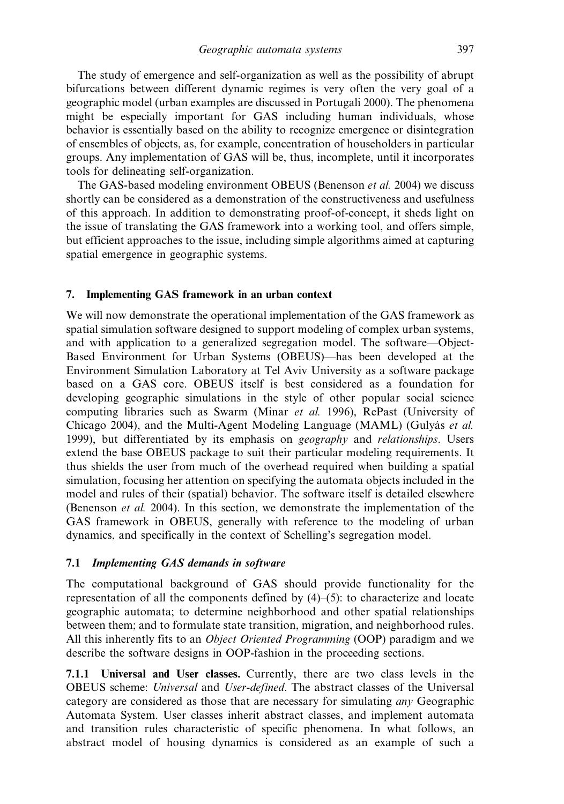The study of emergence and self-organization as well as the possibility of abrupt bifurcations between different dynamic regimes is very often the very goal of a geographic model (urban examples are discussed in Portugali 2000). The phenomena might be especially important for GAS including human individuals, whose behavior is essentially based on the ability to recognize emergence or disintegration of ensembles of objects, as, for example, concentration of householders in particular groups. Any implementation of GAS will be, thus, incomplete, until it incorporates tools for delineating self-organization.

The GAS-based modeling environment OBEUS (Benenson et al. 2004) we discuss shortly can be considered as a demonstration of the constructiveness and usefulness of this approach. In addition to demonstrating proof-of-concept, it sheds light on the issue of translating the GAS framework into a working tool, and offers simple, but efficient approaches to the issue, including simple algorithms aimed at capturing spatial emergence in geographic systems.

#### 7. Implementing GAS framework in an urban context

We will now demonstrate the operational implementation of the GAS framework as spatial simulation software designed to support modeling of complex urban systems, and with application to a generalized segregation model. The software—Object-Based Environment for Urban Systems (OBEUS)—has been developed at the Environment Simulation Laboratory at Tel Aviv University as a software package based on a GAS core. OBEUS itself is best considered as a foundation for developing geographic simulations in the style of other popular social science computing libraries such as Swarm (Minar et al. 1996), RePast (University of Chicago 2004), and the Multi-Agent Modeling Language (MAML) (Gulyás et al. 1999), but differentiated by its emphasis on geography and relationships. Users extend the base OBEUS package to suit their particular modeling requirements. It thus shields the user from much of the overhead required when building a spatial simulation, focusing her attention on specifying the automata objects included in the model and rules of their (spatial) behavior. The software itself is detailed elsewhere (Benenson et al. 2004). In this section, we demonstrate the implementation of the GAS framework in OBEUS, generally with reference to the modeling of urban dynamics, and specifically in the context of Schelling's segregation model.

#### 7.1 Implementing GAS demands in software

The computational background of GAS should provide functionality for the representation of all the components defined by (4)–(5): to characterize and locate geographic automata; to determine neighborhood and other spatial relationships between them; and to formulate state transition, migration, and neighborhood rules. All this inherently fits to an *Object Oriented Programming* (OOP) paradigm and we describe the software designs in OOP-fashion in the proceeding sections.

7.1.1 Universal and User classes. Currently, there are two class levels in the OBEUS scheme: Universal and User-defined. The abstract classes of the Universal category are considered as those that are necessary for simulating any Geographic Automata System. User classes inherit abstract classes, and implement automata and transition rules characteristic of specific phenomena. In what follows, an abstract model of housing dynamics is considered as an example of such a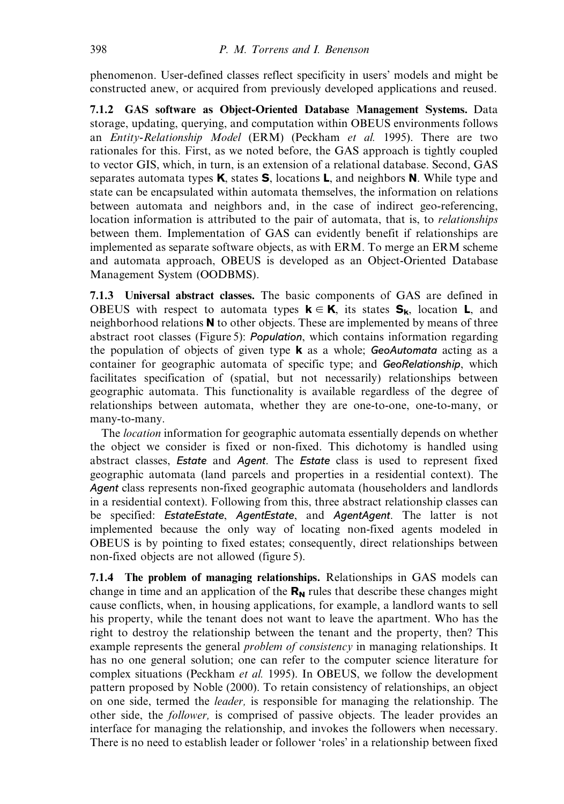phenomenon. User-defined classes reflect specificity in users' models and might be constructed anew, or acquired from previously developed applications and reused.

7.1.2 GAS software as Object-Oriented Database Management Systems. Data storage, updating, querying, and computation within OBEUS environments follows an Entity-Relationship Model (ERM) (Peckham et al. 1995). There are two rationales for this. First, as we noted before, the GAS approach is tightly coupled to vector GIS, which, in turn, is an extension of a relational database. Second, GAS separates automata types  $K$ , states  $S$ , locations **L**, and neighbors **N**. While type and state can be encapsulated within automata themselves, the information on relations between automata and neighbors and, in the case of indirect geo-referencing, location information is attributed to the pair of automata, that is, to relationships between them. Implementation of GAS can evidently benefit if relationships are implemented as separate software objects, as with ERM. To merge an ERM scheme and automata approach, OBEUS is developed as an Object-Oriented Database Management System (OODBMS).

7.1.3 Universal abstract classes. The basic components of GAS are defined in OBEUS with respect to automata types  $k \in K$ , its states  $S_k$ , location L, and neighborhood relations N to other objects. These are implemented by means of three abstract root classes (Figure 5): *Population*, which contains information regarding the population of objects of given type  $\bf{k}$  as a whole; GeoAutomata acting as a container for geographic automata of specific type; and GeoRelationship, which facilitates specification of (spatial, but not necessarily) relationships between geographic automata. This functionality is available regardless of the degree of relationships between automata, whether they are one-to-one, one-to-many, or many-to-many.

The location information for geographic automata essentially depends on whether the object we consider is fixed or non-fixed. This dichotomy is handled using abstract classes, Estate and Agent. The Estate class is used to represent fixed geographic automata (land parcels and properties in a residential context). The Agent class represents non-fixed geographic automata (householders and landlords in a residential context). Following from this, three abstract relationship classes can be specified: EstateEstate, AgentEstate, and AgentAgent. The latter is not implemented because the only way of locating non-fixed agents modeled in OBEUS is by pointing to fixed estates; consequently, direct relationships between non-fixed objects are not allowed (figure 5).

7.1.4 The problem of managing relationships. Relationships in GAS models can change in time and an application of the  $R_N$  rules that describe these changes might cause conflicts, when, in housing applications, for example, a landlord wants to sell his property, while the tenant does not want to leave the apartment. Who has the right to destroy the relationship between the tenant and the property, then? This example represents the general *problem of consistency* in managing relationships. It has no one general solution; one can refer to the computer science literature for complex situations (Peckham *et al.* 1995). In OBEUS, we follow the development pattern proposed by Noble (2000). To retain consistency of relationships, an object on one side, termed the leader, is responsible for managing the relationship. The other side, the follower, is comprised of passive objects. The leader provides an interface for managing the relationship, and invokes the followers when necessary. There is no need to establish leader or follower 'roles' in a relationship between fixed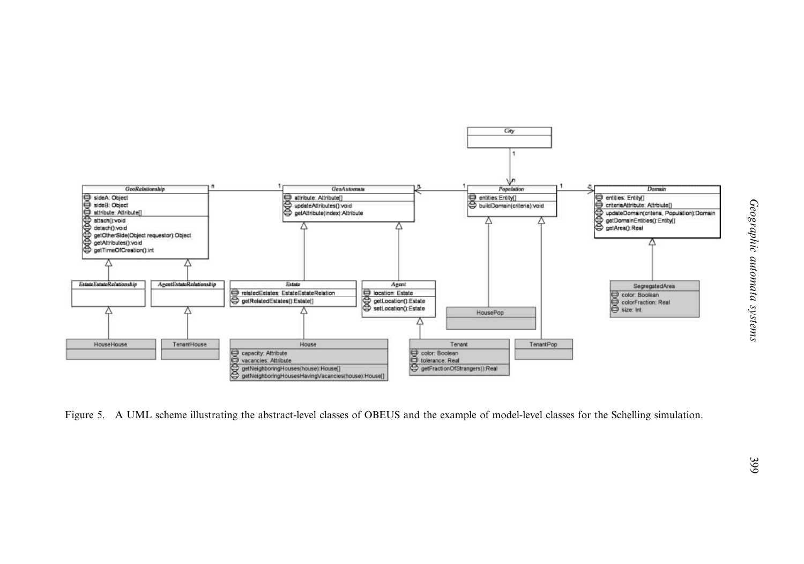

Figure 5. A UML scheme illustrating the abstract-level classes of OBEUS and the example of model-level classes for the Schelling simulation.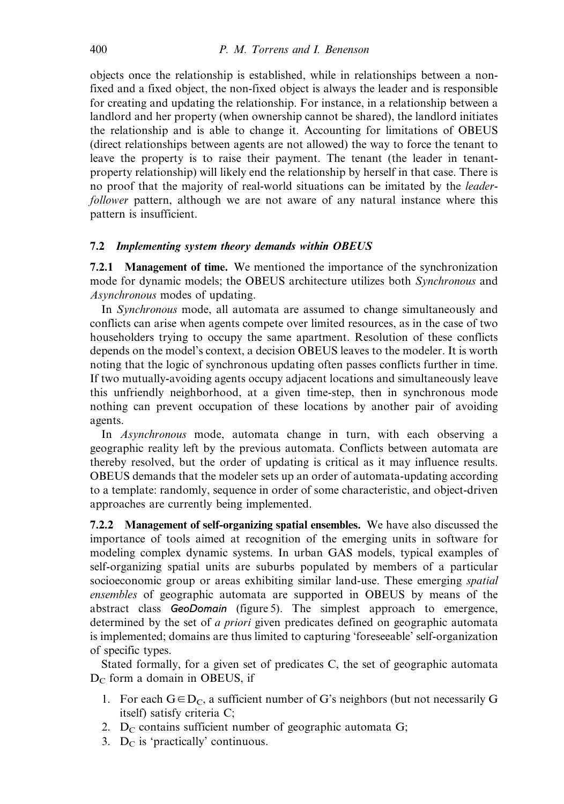objects once the relationship is established, while in relationships between a nonfixed and a fixed object, the non-fixed object is always the leader and is responsible for creating and updating the relationship. For instance, in a relationship between a landlord and her property (when ownership cannot be shared), the landlord initiates the relationship and is able to change it. Accounting for limitations of OBEUS (direct relationships between agents are not allowed) the way to force the tenant to leave the property is to raise their payment. The tenant (the leader in tenantproperty relationship) will likely end the relationship by herself in that case. There is no proof that the majority of real-world situations can be imitated by the leaderfollower pattern, although we are not aware of any natural instance where this pattern is insufficient.

## 7.2 Implementing system theory demands within OBEUS

7.2.1 Management of time. We mentioned the importance of the synchronization mode for dynamic models; the OBEUS architecture utilizes both Synchronous and Asynchronous modes of updating.

In Synchronous mode, all automata are assumed to change simultaneously and conflicts can arise when agents compete over limited resources, as in the case of two householders trying to occupy the same apartment. Resolution of these conflicts depends on the model's context, a decision OBEUS leaves to the modeler. It is worth noting that the logic of synchronous updating often passes conflicts further in time. If two mutually-avoiding agents occupy adjacent locations and simultaneously leave this unfriendly neighborhood, at a given time-step, then in synchronous mode nothing can prevent occupation of these locations by another pair of avoiding agents.

In Asynchronous mode, automata change in turn, with each observing a geographic reality left by the previous automata. Conflicts between automata are thereby resolved, but the order of updating is critical as it may influence results. OBEUS demands that the modeler sets up an order of automata-updating according to a template: randomly, sequence in order of some characteristic, and object-driven approaches are currently being implemented.

7.2.2 Management of self-organizing spatial ensembles. We have also discussed the importance of tools aimed at recognition of the emerging units in software for modeling complex dynamic systems. In urban GAS models, typical examples of self-organizing spatial units are suburbs populated by members of a particular socioeconomic group or areas exhibiting similar land-use. These emerging *spatial* ensembles of geographic automata are supported in OBEUS by means of the abstract class GeoDomain (figure 5). The simplest approach to emergence, determined by the set of a priori given predicates defined on geographic automata is implemented; domains are thus limited to capturing 'foreseeable' self-organization of specific types.

Stated formally, for a given set of predicates C, the set of geographic automata  $D<sub>C</sub>$  form a domain in OBEUS, if

- 1. For each  $G \in D_C$ , a sufficient number of G's neighbors (but not necessarily G itself) satisfy criteria C;
- 2.  $D_C$  contains sufficient number of geographic automata G;
- 3.  $D_{\rm C}$  is 'practically' continuous.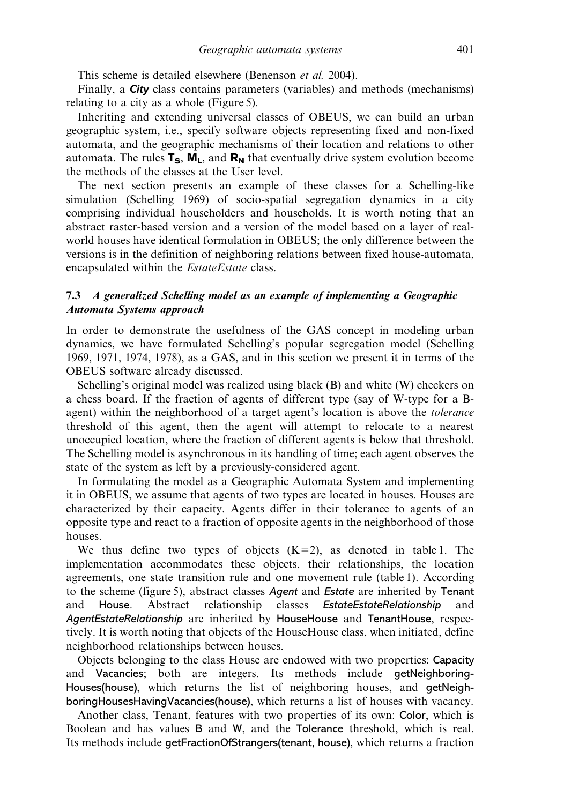This scheme is detailed elsewhere (Benenson et al. 2004).

Finally, a **City** class contains parameters (variables) and methods (mechanisms) relating to a city as a whole (Figure 5).

Inheriting and extending universal classes of OBEUS, we can build an urban geographic system, i.e., specify software objects representing fixed and non-fixed automata, and the geographic mechanisms of their location and relations to other automata. The rules  $T_s$ ,  $M_l$ , and  $R_l$  that eventually drive system evolution become the methods of the classes at the User level.

The next section presents an example of these classes for a Schelling-like simulation (Schelling 1969) of socio-spatial segregation dynamics in a city comprising individual householders and households. It is worth noting that an abstract raster-based version and a version of the model based on a layer of realworld houses have identical formulation in OBEUS; the only difference between the versions is in the definition of neighboring relations between fixed house-automata, encapsulated within the *EstateEstate* class.

# 7.3 A generalized Schelling model as an example of implementing a Geographic Automata Systems approach

In order to demonstrate the usefulness of the GAS concept in modeling urban dynamics, we have formulated Schelling's popular segregation model (Schelling 1969, 1971, 1974, 1978), as a GAS, and in this section we present it in terms of the OBEUS software already discussed.

Schelling's original model was realized using black (B) and white (W) checkers on a chess board. If the fraction of agents of different type (say of W-type for a Bagent) within the neighborhood of a target agent's location is above the tolerance threshold of this agent, then the agent will attempt to relocate to a nearest unoccupied location, where the fraction of different agents is below that threshold. The Schelling model is asynchronous in its handling of time; each agent observes the state of the system as left by a previously-considered agent.

In formulating the model as a Geographic Automata System and implementing it in OBEUS, we assume that agents of two types are located in houses. Houses are characterized by their capacity. Agents differ in their tolerance to agents of an opposite type and react to a fraction of opposite agents in the neighborhood of those houses.

We thus define two types of objects  $(K=2)$ , as denoted in table 1. The implementation accommodates these objects, their relationships, the location agreements, one state transition rule and one movement rule (table 1). According to the scheme (figure 5), abstract classes Agent and Estate are inherited by Tenant and House. Abstract relationship classes EstateEstateRelationship and AgentEstateRelationship are inherited by HouseHouse and TenantHouse, respectively. It is worth noting that objects of the HouseHouse class, when initiated, define neighborhood relationships between houses.

Objects belonging to the class House are endowed with two properties: Capacity and Vacancies; both are integers. Its methods include getNeighboring-Houses(house), which returns the list of neighboring houses, and getNeighboringHousesHavingVacancies(house), which returns a list of houses with vacancy.

Another class, Tenant, features with two properties of its own: Color, which is Boolean and has values B and W, and the Tolerance threshold, which is real. Its methods include getFractionOfStrangers(tenant, house), which returns a fraction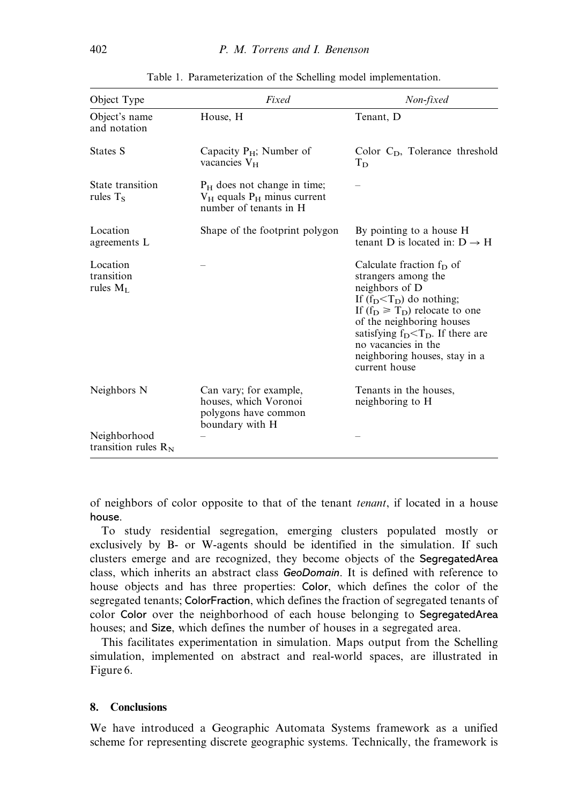| Object Type                                           | Fixed                                                                                        | Non-fixed                                                                                                                                                                                                                                                                                 |  |  |
|-------------------------------------------------------|----------------------------------------------------------------------------------------------|-------------------------------------------------------------------------------------------------------------------------------------------------------------------------------------------------------------------------------------------------------------------------------------------|--|--|
| Object's name<br>and notation                         | House, H                                                                                     | Tenant, D                                                                                                                                                                                                                                                                                 |  |  |
| States S                                              | Capacity $P_H$ ; Number of<br>vacancies $V_H$                                                | Color $C_D$ , Tolerance threshold<br>$T_D$                                                                                                                                                                                                                                                |  |  |
| State transition<br>rules $T_S$                       | $P_H$ does not change in time;<br>$V_H$ equals $P_H$ minus current<br>number of tenants in H |                                                                                                                                                                                                                                                                                           |  |  |
| Location<br>agreements L                              | Shape of the footprint polygon                                                               | By pointing to a house H<br>tenant D is located in: $D \rightarrow H$                                                                                                                                                                                                                     |  |  |
| Location<br>transition<br>rules $M_L$                 |                                                                                              | Calculate fraction $f_D$ of<br>strangers among the<br>neighbors of D<br>If $(f_D < T_D)$ do nothing;<br>If $(f_D \ge T_D)$ relocate to one<br>of the neighboring houses<br>satisfying $f_D < T_D$ . If there are<br>no vacancies in the<br>neighboring houses, stay in a<br>current house |  |  |
| Neighbors N<br>Neighborhood<br>transition rules $R_N$ | Can vary; for example,<br>houses, which Voronoi<br>polygons have common<br>boundary with H   | Tenants in the houses,<br>neighboring to H                                                                                                                                                                                                                                                |  |  |

Table 1. Parameterization of the Schelling model implementation.

of neighbors of color opposite to that of the tenant tenant, if located in a house house.

To study residential segregation, emerging clusters populated mostly or exclusively by B- or W-agents should be identified in the simulation. If such clusters emerge and are recognized, they become objects of the SegregatedArea class, which inherits an abstract class GeoDomain. It is defined with reference to house objects and has three properties: Color, which defines the color of the segregated tenants; ColorFraction, which defines the fraction of segregated tenants of color Color over the neighborhood of each house belonging to SegregatedArea houses; and Size, which defines the number of houses in a segregated area.

This facilitates experimentation in simulation. Maps output from the Schelling simulation, implemented on abstract and real-world spaces, are illustrated in Figure 6.

#### 8. Conclusions

We have introduced a Geographic Automata Systems framework as a unified scheme for representing discrete geographic systems. Technically, the framework is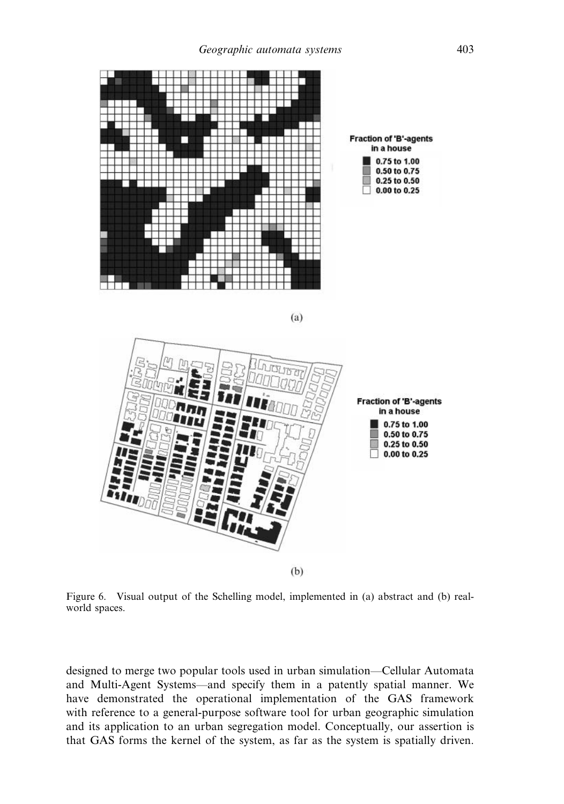

Figure 6. Visual output of the Schelling model, implemented in (a) abstract and (b) realworld spaces.

designed to merge two popular tools used in urban simulation—Cellular Automata and Multi-Agent Systems—and specify them in a patently spatial manner. We have demonstrated the operational implementation of the GAS framework with reference to a general-purpose software tool for urban geographic simulation and its application to an urban segregation model. Conceptually, our assertion is that GAS forms the kernel of the system, as far as the system is spatially driven.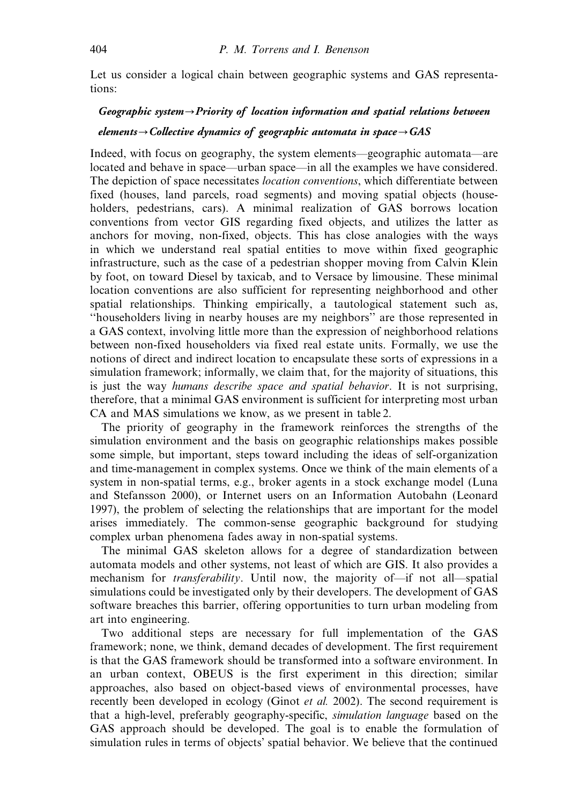Let us consider a logical chain between geographic systems and GAS representations:

# Geographic system $\rightarrow$ Priority of location information and spatial relations between

# elements $\rightarrow$  Collective dynamics of geographic automata in space $\rightarrow$  GAS

Indeed, with focus on geography, the system elements—geographic automata—are located and behave in space—urban space—in all the examples we have considered. The depiction of space necessitates *location conventions*, which differentiate between fixed (houses, land parcels, road segments) and moving spatial objects (householders, pedestrians, cars). A minimal realization of GAS borrows location conventions from vector GIS regarding fixed objects, and utilizes the latter as anchors for moving, non-fixed, objects. This has close analogies with the ways in which we understand real spatial entities to move within fixed geographic infrastructure, such as the case of a pedestrian shopper moving from Calvin Klein by foot, on toward Diesel by taxicab, and to Versace by limousine. These minimal location conventions are also sufficient for representing neighborhood and other spatial relationships. Thinking empirically, a tautological statement such as, ''householders living in nearby houses are my neighbors'' are those represented in a GAS context, involving little more than the expression of neighborhood relations between non-fixed householders via fixed real estate units. Formally, we use the notions of direct and indirect location to encapsulate these sorts of expressions in a simulation framework; informally, we claim that, for the majority of situations, this is just the way humans describe space and spatial behavior. It is not surprising, therefore, that a minimal GAS environment is sufficient for interpreting most urban CA and MAS simulations we know, as we present in table 2.

The priority of geography in the framework reinforces the strengths of the simulation environment and the basis on geographic relationships makes possible some simple, but important, steps toward including the ideas of self-organization and time-management in complex systems. Once we think of the main elements of a system in non-spatial terms, e.g., broker agents in a stock exchange model (Luna and Stefansson 2000), or Internet users on an Information Autobahn (Leonard 1997), the problem of selecting the relationships that are important for the model arises immediately. The common-sense geographic background for studying complex urban phenomena fades away in non-spatial systems.

The minimal GAS skeleton allows for a degree of standardization between automata models and other systems, not least of which are GIS. It also provides a mechanism for transferability. Until now, the majority of-if not all-spatial simulations could be investigated only by their developers. The development of GAS software breaches this barrier, offering opportunities to turn urban modeling from art into engineering.

Two additional steps are necessary for full implementation of the GAS framework; none, we think, demand decades of development. The first requirement is that the GAS framework should be transformed into a software environment. In an urban context, OBEUS is the first experiment in this direction; similar approaches, also based on object-based views of environmental processes, have recently been developed in ecology (Ginot et al. 2002). The second requirement is that a high-level, preferably geography-specific, simulation language based on the GAS approach should be developed. The goal is to enable the formulation of simulation rules in terms of objects' spatial behavior. We believe that the continued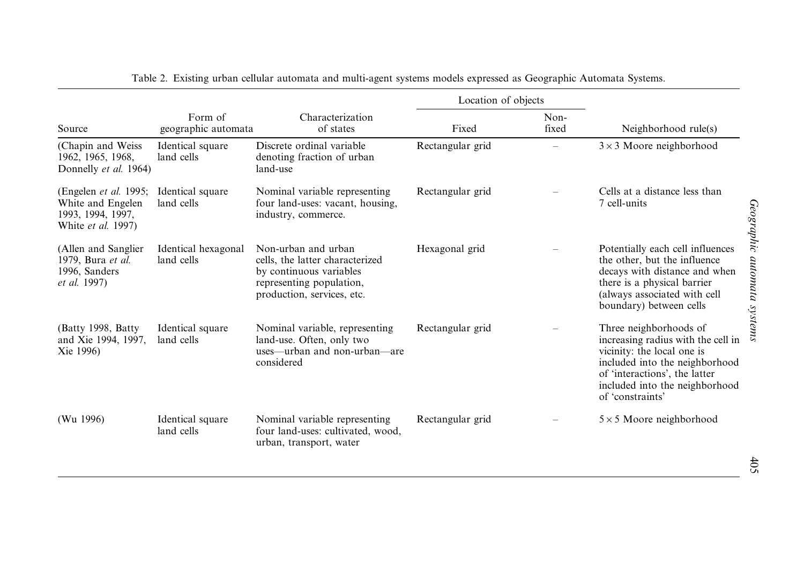|                                                                                              |                                   | Characterization<br>of states                                                                                                               | Location of objects |                          |                                                                                                                                                                                                                     |
|----------------------------------------------------------------------------------------------|-----------------------------------|---------------------------------------------------------------------------------------------------------------------------------------------|---------------------|--------------------------|---------------------------------------------------------------------------------------------------------------------------------------------------------------------------------------------------------------------|
| Source                                                                                       | Form of<br>geographic automata    |                                                                                                                                             | Fixed               | Non-<br>fixed            | Neighborhood rule(s)                                                                                                                                                                                                |
| (Chapin and Weiss)<br>1962, 1965, 1968,<br>Donnelly et al. 1964)                             | Identical square<br>land cells    | Discrete ordinal variable<br>denoting fraction of urban<br>land-use                                                                         | Rectangular grid    | $\overline{\phantom{0}}$ | $3 \times 3$ Moore neighborhood                                                                                                                                                                                     |
| (Engelen <i>et al.</i> 1995;<br>White and Engelen<br>1993, 1994, 1997,<br>White et al. 1997) | Identical square<br>land cells    | Nominal variable representing<br>four land-uses: vacant, housing,<br>industry, commerce.                                                    | Rectangular grid    |                          | Cells at a distance less than<br>7 cell-units                                                                                                                                                                       |
| (Allen and Sanglier)<br>1979, Bura et al.<br>1996, Sanders<br><i>et al.</i> 1997)            | Identical hexagonal<br>land cells | Non-urban and urban<br>cells, the latter characterized<br>by continuous variables<br>representing population,<br>production, services, etc. | Hexagonal grid      |                          | Potentially each cell influences<br>the other, but the influence<br>decays with distance and when<br>there is a physical barrier<br>(always associated with cell<br>boundary) between cells                         |
| (Batty 1998, Batty)<br>and Xie 1994, 1997,<br>Xie 1996)                                      | Identical square<br>land cells    | Nominal variable, representing<br>land-use. Often, only two<br>uses—urban and non-urban—are<br>considered                                   | Rectangular grid    |                          | Three neighborhoods of<br>increasing radius with the cell in<br>vicinity: the local one is<br>included into the neighborhood<br>of 'interactions', the latter<br>included into the neighborhood<br>of 'constraints' |
| (Wu 1996)                                                                                    | Identical square<br>land cells    | Nominal variable representing<br>four land-uses: cultivated, wood,<br>urban, transport, water                                               | Rectangular grid    |                          | $5 \times 5$ Moore neighborhood                                                                                                                                                                                     |

Table 2. Existing urban cellular automata and multi-agent systems models expressed as Geographic Automata Systems.

405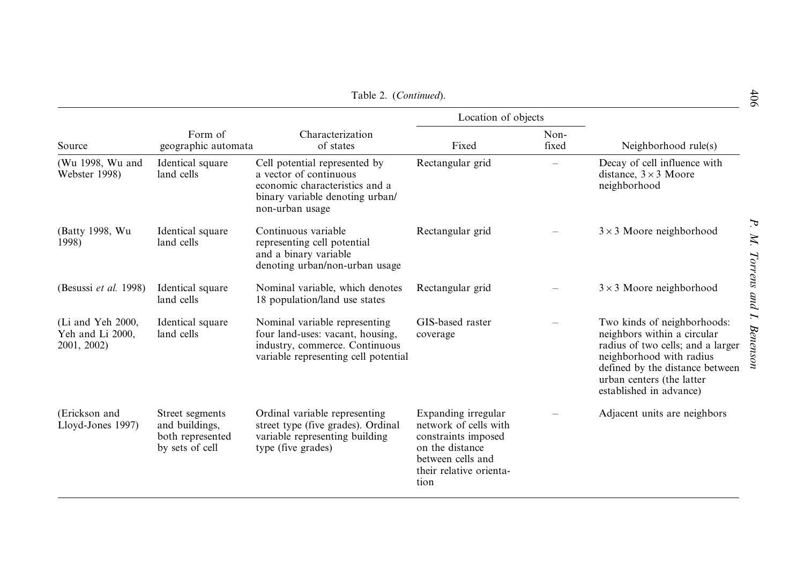| Source                                               |                                                                          | Characterization<br>of states                                                                                                                   | Location of objects                                                                                                                            |                   |                                                                                                                                                                                                                        |
|------------------------------------------------------|--------------------------------------------------------------------------|-------------------------------------------------------------------------------------------------------------------------------------------------|------------------------------------------------------------------------------------------------------------------------------------------------|-------------------|------------------------------------------------------------------------------------------------------------------------------------------------------------------------------------------------------------------------|
|                                                      | Form of<br>geographic automata                                           |                                                                                                                                                 | Fixed                                                                                                                                          | Non-<br>fixed     | Neighborhood $rule(s)$                                                                                                                                                                                                 |
| (Wu 1998, Wu and<br>Webster 1998)                    | Identical square<br>land cells                                           | Cell potential represented by<br>a vector of continuous<br>economic characteristics and a<br>binary variable denoting urban/<br>non-urban usage | Rectangular grid                                                                                                                               |                   | Decay of cell influence with<br>distance, $3 \times 3$ Moore<br>neighborhood                                                                                                                                           |
| (Batty 1998, Wu<br>1998)                             | Identical square<br>land cells                                           | Continuous variable<br>representing cell potential<br>and a binary variable<br>denoting urban/non-urban usage                                   | Rectangular grid                                                                                                                               | $\qquad \qquad -$ | $3 \times 3$ Moore neighborhood                                                                                                                                                                                        |
| (Besussi et al. 1998)                                | Identical square<br>land cells                                           | Nominal variable, which denotes<br>18 population/land use states                                                                                | Rectangular grid                                                                                                                               |                   | $3 \times 3$ Moore neighborhood                                                                                                                                                                                        |
| (Li and Yeh 2000,<br>Yeh and Li 2000.<br>2001, 2002) | Identical square<br>land cells                                           | Nominal variable representing<br>four land-uses: vacant, housing,<br>industry, commerce. Continuous<br>variable representing cell potential     | GIS-based raster<br>coverage                                                                                                                   |                   | Two kinds of neighborhoods:<br>neighbors within a circular<br>radius of two cells; and a larger<br>neighborhood with radius<br>defined by the distance between<br>urban centers (the latter<br>established in advance) |
| (Erickson and<br>Lloyd-Jones 1997)                   | Street segments<br>and buildings,<br>both represented<br>by sets of cell | Ordinal variable representing<br>street type (five grades). Ordinal<br>variable representing building<br>type (five grades)                     | Expanding irregular<br>network of cells with<br>constraints imposed<br>on the distance<br>between cells and<br>their relative orienta-<br>tion |                   | Adjacent units are neighbors                                                                                                                                                                                           |

406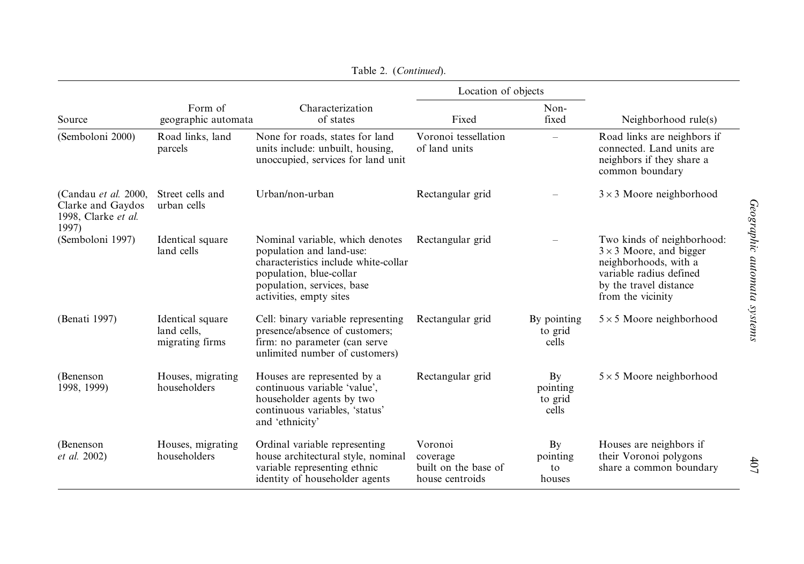|                                                                              |                                                    | Characterization<br>of states                                                                                                                                                           | Location of objects                                            |                                    |                                                                                                                                                                 |
|------------------------------------------------------------------------------|----------------------------------------------------|-----------------------------------------------------------------------------------------------------------------------------------------------------------------------------------------|----------------------------------------------------------------|------------------------------------|-----------------------------------------------------------------------------------------------------------------------------------------------------------------|
| Source                                                                       | Form of<br>geographic automata                     |                                                                                                                                                                                         | Fixed                                                          | Non-<br>fixed                      | Neighborhood $rule(s)$                                                                                                                                          |
| (Semboloni 2000)                                                             | Road links, land<br>parcels                        | None for roads, states for land<br>units include: unbuilt, housing,<br>unoccupied, services for land unit                                                                               | Voronoi tessellation<br>of land units                          | $\equiv$                           | Road links are neighbors if<br>connected. Land units are<br>neighbors if they share a<br>common boundary                                                        |
| (Candau et al. $2000$ .<br>Clarke and Gaydos<br>1998, Clarke et al.<br>1997) | Street cells and<br>urban cells                    | Urban/non-urban                                                                                                                                                                         | Rectangular grid                                               |                                    | $3 \times 3$ Moore neighborhood                                                                                                                                 |
| (Semboloni 1997)                                                             | Identical square<br>land cells                     | Nominal variable, which denotes<br>population and land-use:<br>characteristics include white-collar<br>population, blue-collar<br>population, services, base<br>activities, empty sites | Rectangular grid                                               |                                    | Two kinds of neighborhood:<br>$3 \times 3$ Moore, and bigger<br>neighborhoods, with a<br>variable radius defined<br>by the travel distance<br>from the vicinity |
| (Benati 1997)                                                                | Identical square<br>land cells.<br>migrating firms | Cell: binary variable representing<br>presence/absence of customers;<br>firm: no parameter (can serve<br>unlimited number of customers)                                                 | Rectangular grid                                               | By pointing<br>to grid<br>cells    | $5 \times 5$ Moore neighborhood                                                                                                                                 |
| (Benenson<br>1998, 1999)                                                     | Houses, migrating<br>householders                  | Houses are represented by a<br>continuous variable 'value',<br>householder agents by two<br>continuous variables, 'status'<br>and 'ethnicity'                                           | Rectangular grid                                               | By<br>pointing<br>to grid<br>cells | $5 \times 5$ Moore neighborhood                                                                                                                                 |
| (Benenson<br><i>et al.</i> 2002)                                             | Houses, migrating<br>householders                  | Ordinal variable representing<br>house architectural style, nominal<br>variable representing ethnic<br>identity of householder agents                                                   | Voronoi<br>coverage<br>built on the base of<br>house centroids | By<br>pointing<br>to<br>houses     | Houses are neighbors if<br>their Voronoi polygons<br>share a common boundary                                                                                    |

Table 2. (Continued).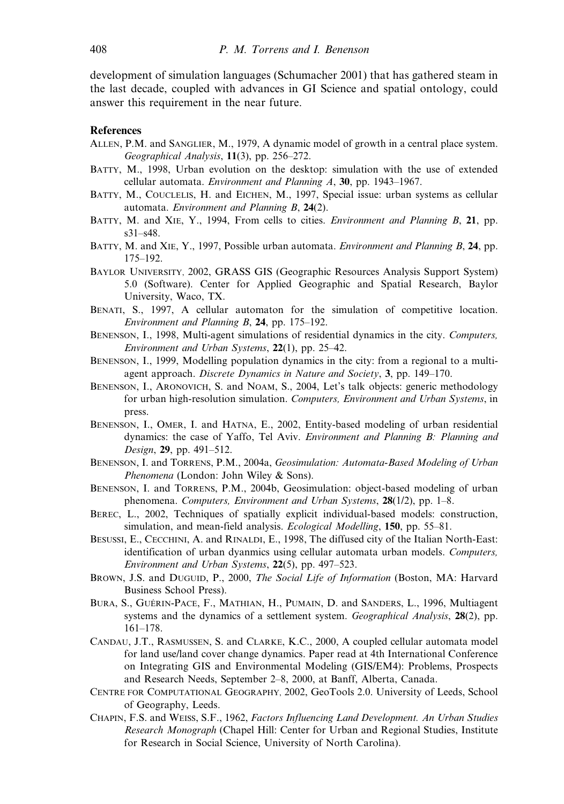development of simulation languages (Schumacher 2001) that has gathered steam in the last decade, coupled with advances in GI Science and spatial ontology, could answer this requirement in the near future.

## **References**

- ALLEN, P.M. and SANGLIER, M., 1979, A dynamic model of growth in a central place system. Geographical Analysis, 11(3), pp. 256–272.
- BATTY, M., 1998, Urban evolution on the desktop: simulation with the use of extended cellular automata. Environment and Planning A, 30, pp. 1943–1967.
- BATTY, M., COUCLELIS, H. and EICHEN, M., 1997, Special issue: urban systems as cellular automata. Environment and Planning B, 24(2).
- BATTY, M. and XIE, Y., 1994, From cells to cities. *Environment and Planning B*, 21, pp. s31–s48.
- BATTY, M. and XIE, Y., 1997, Possible urban automata. *Environment and Planning B*, 24, pp. 175–192.
- BAYLOR UNIVERSITY, 2002, GRASS GIS (Geographic Resources Analysis Support System) 5.0 (Software). Center for Applied Geographic and Spatial Research, Baylor University, Waco, TX.
- BENATI, S., 1997, A cellular automaton for the simulation of competitive location. Environment and Planning B,  $24$ , pp. 175–192.
- BENENSON, I., 1998, Multi-agent simulations of residential dynamics in the city. Computers, Environment and Urban Systems, 22(1), pp. 25–42.
- BENENSON, I., 1999, Modelling population dynamics in the city: from a regional to a multiagent approach. Discrete Dynamics in Nature and Society, 3, pp. 149–170.
- BENENSON, I., ARONOVICH, S. and NOAM, S., 2004, Let's talk objects: generic methodology for urban high-resolution simulation. Computers, Environment and Urban Systems, in press.
- BENENSON, I., OMER, I. and HATNA, E., 2002, Entity-based modeling of urban residential dynamics: the case of Yaffo, Tel Aviv. Environment and Planning B: Planning and Design, 29, pp. 491–512.
- BENENSON, I. and TORRENS, P.M., 2004a, Geosimulation: Automata-Based Modeling of Urban Phenomena (London: John Wiley & Sons).
- BENENSON, I. and TORRENS, P.M., 2004b, Geosimulation: object-based modeling of urban phenomena. Computers, Environment and Urban Systems, 28(1/2), pp. 1–8.
- BEREC, L., 2002, Techniques of spatially explicit individual-based models: construction, simulation, and mean-field analysis. Ecological Modelling, 150, pp. 55–81.
- BESUSSI, E., CECCHINI, A. and RINALDI, E., 1998, The diffused city of the Italian North-East: identification of urban dyanmics using cellular automata urban models. Computers, Environment and Urban Systems, 22(5), pp. 497–523.
- BROWN, J.S. and DUGUID, P., 2000, The Social Life of Information (Boston, MA: Harvard Business School Press).
- BURA, S., GUÉRIN-PACE, F., MATHIAN, H., PUMAIN, D. and SANDERS, L., 1996, Multiagent systems and the dynamics of a settlement system. Geographical Analysis, 28(2), pp. 161–178.
- CANDAU, J.T., RASMUSSEN, S. and CLARKE, K.C., 2000, A coupled cellular automata model for land use/land cover change dynamics. Paper read at 4th International Conference on Integrating GIS and Environmental Modeling (GIS/EM4): Problems, Prospects and Research Needs, September 2–8, 2000, at Banff, Alberta, Canada.
- CENTRE FOR COMPUTATIONAL GEOGRAPHY, 2002, GeoTools 2.0. University of Leeds, School of Geography, Leeds.
- CHAPIN, F.S. and WEISS, S.F., 1962, Factors Influencing Land Development. An Urban Studies Research Monograph (Chapel Hill: Center for Urban and Regional Studies, Institute for Research in Social Science, University of North Carolina).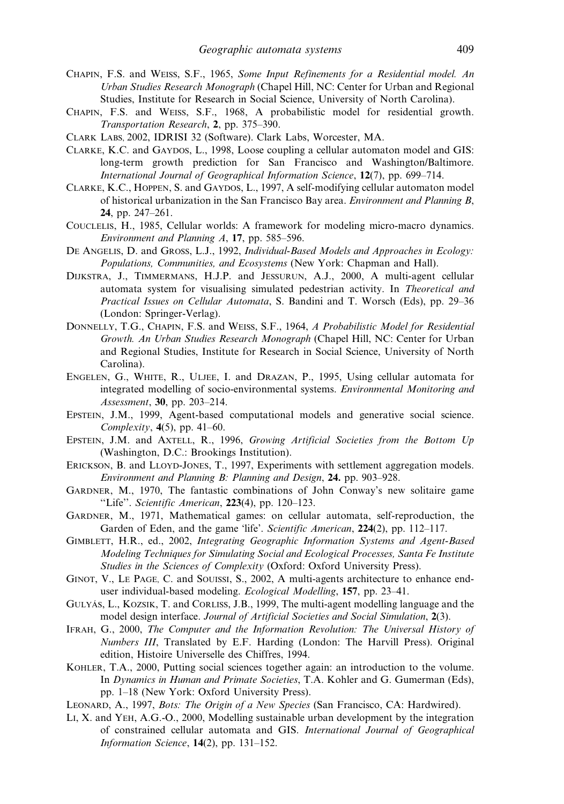- CHAPIN, F.S. and WEISS, S.F., 1965, Some Input Refinements for a Residential model. An Urban Studies Research Monograph (Chapel Hill, NC: Center for Urban and Regional Studies, Institute for Research in Social Science, University of North Carolina).
- CHAPIN, F.S. and WEISS, S.F., 1968, A probabilistic model for residential growth. Transportation Research, 2, pp. 375–390.
- CLARK LABS, 2002, IDRISI 32 (Software). Clark Labs, Worcester, MA.
- CLARKE, K.C. and GAYDOS, L., 1998, Loose coupling a cellular automaton model and GIS: long-term growth prediction for San Francisco and Washington/Baltimore. International Journal of Geographical Information Science, 12(7), pp. 699–714.
- CLARKE, K.C., HOPPEN, S. and GAYDOS, L., 1997, A self-modifying cellular automaton model of historical urbanization in the San Francisco Bay area. Environment and Planning B, 24, pp. 247–261.
- COUCLELIS, H., 1985, Cellular worlds: A framework for modeling micro-macro dynamics. Environment and Planning A, 17, pp. 585–596.
- DE ANGELIS, D. and GROSS, L.J., 1992, Individual-Based Models and Approaches in Ecology: Populations, Communities, and Ecosystems (New York: Chapman and Hall).
- DIJKSTRA, J., TIMMERMANS, H.J.P. and JESSURUN, A.J., 2000, A multi-agent cellular automata system for visualising simulated pedestrian activity. In Theoretical and Practical Issues on Cellular Automata, S. Bandini and T. Worsch (Eds), pp. 29–36 (London: Springer-Verlag).
- DONNELLY, T.G., CHAPIN, F.S. and WEISS, S.F., 1964, A Probabilistic Model for Residential Growth. An Urban Studies Research Monograph (Chapel Hill, NC: Center for Urban and Regional Studies, Institute for Research in Social Science, University of North Carolina).
- ENGELEN, G., WHITE, R., ULJEE, I. and DRAZAN, P., 1995, Using cellular automata for integrated modelling of socio-environmental systems. Environmental Monitoring and Assessment, 30, pp. 203–214.
- EPSTEIN, J.M., 1999, Agent-based computational models and generative social science. Complexity,  $4(5)$ , pp.  $41-60$ .
- EPSTEIN, J.M. and AXTELL, R., 1996, Growing Artificial Societies from the Bottom Up (Washington, D.C.: Brookings Institution).
- ERICKSON, B. and LLOYD-JONES, T., 1997, Experiments with settlement aggregation models. Environment and Planning B: Planning and Design, 24. pp. 903–928.
- GARDNER, M., 1970, The fantastic combinations of John Conway's new solitaire game ''Life''. Scientific American, 223(4), pp. 120–123.
- GARDNER, M., 1971, Mathematical games: on cellular automata, self-reproduction, the Garden of Eden, and the game 'life'. Scientific American, 224(2), pp. 112-117.
- GIMBLETT, H.R., ed., 2002, Integrating Geographic Information Systems and Agent-Based Modeling Techniques for Simulating Social and Ecological Processes, Santa Fe Institute Studies in the Sciences of Complexity (Oxford: Oxford University Press).
- GINOT, V., LE PAGE, C. and SOUISSI, S., 2002, A multi-agents architecture to enhance enduser individual-based modeling. Ecological Modelling, 157, pp. 23–41.
- GULYÁS, L., KOZSIK, T. and CORLISS, J.B., 1999, The multi-agent modelling language and the model design interface. Journal of Artificial Societies and Social Simulation, 2(3).
- IFRAH, G., 2000, The Computer and the Information Revolution: The Universal History of Numbers III, Translated by E.F. Harding (London: The Harvill Press). Original edition, Histoire Universelle des Chiffres, 1994.
- KOHLER, T.A., 2000, Putting social sciences together again: an introduction to the volume. In Dynamics in Human and Primate Societies, T.A. Kohler and G. Gumerman (Eds), pp. 1–18 (New York: Oxford University Press).
- LEONARD, A., 1997, Bots: The Origin of a New Species (San Francisco, CA: Hardwired).
- LI, X. and YEH, A.G.-O., 2000, Modelling sustainable urban development by the integration of constrained cellular automata and GIS. International Journal of Geographical Information Science, 14(2), pp. 131–152.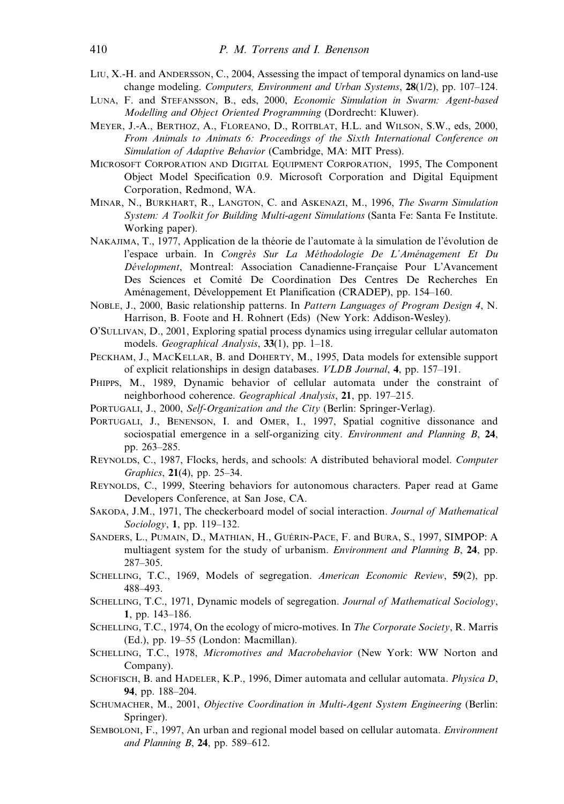- LIU, X.-H. and ANDERSSON, C., 2004, Assessing the impact of temporal dynamics on land-use change modeling. Computers, Environment and Urban Systems, 28(1/2), pp. 107–124.
- LUNA, F. and STEFANSSON, B., eds, 2000, Economic Simulation in Swarm: Agent-based Modelling and Object Oriented Programming (Dordrecht: Kluwer).
- MEYER, J.-A., BERTHOZ, A., FLOREANO, D., ROITBLAT, H.L. and WILSON, S.W., eds, 2000, From Animals to Animats 6: Proceedings of the Sixth International Conference on Simulation of Adaptive Behavior (Cambridge, MA: MIT Press).
- MICROSOFT CORPORATION AND DIGITAL EQUIPMENT CORPORATION, 1995, The Component Object Model Specification 0.9. Microsoft Corporation and Digital Equipment Corporation, Redmond, WA.
- MINAR, N., BURKHART, R., LANGTON, C. and ASKENAZI, M., 1996, The Swarm Simulation System: A Toolkit for Building Multi-agent Simulations (Santa Fe: Santa Fe Institute. Working paper).
- NAKAJIMA, T., 1977, Application de la théorie de l'automate à la simulation de l'évolution de l'espace urbain. In Congrès Sur La Méthodologie De L'Aménagement Et Du Dévelopment, Montreal: Association Canadienne-Francaise Pour L'Avancement Des Sciences et Comité De Coordination Des Centres De Recherches En Aménagement, Développement Et Planification (CRADEP), pp. 154–160.
- NOBLE, J., 2000, Basic relationship patterns. In Pattern Languages of Program Design 4, N. Harrison, B. Foote and H. Rohnert (Eds) (New York: Addison-Wesley).
- O'SULLIVAN, D., 2001, Exploring spatial process dynamics using irregular cellular automaton models. Geographical Analysis, 33(1), pp. 1–18.
- PECKHAM, J., MACKELLAR, B. and DOHERTY, M., 1995, Data models for extensible support of explicit relationships in design databases. VLDB Journal, 4, pp. 157–191.
- PHIPPS, M., 1989, Dynamic behavior of cellular automata under the constraint of neighborhood coherence. Geographical Analysis, 21, pp. 197–215.
- PORTUGALI, J., 2000, Self-Organization and the City (Berlin: Springer-Verlag).
- PORTUGALI, J., BENENSON, I. and OMER, I., 1997, Spatial cognitive dissonance and sociospatial emergence in a self-organizing city. *Environment and Planning B*, 24, pp. 263–285.
- REYNOLDS, C., 1987, Flocks, herds, and schools: A distributed behavioral model. Computer Graphics, 21(4), pp. 25–34.
- REYNOLDS, C., 1999, Steering behaviors for autonomous characters. Paper read at Game Developers Conference, at San Jose, CA.
- SAKODA, J.M., 1971, The checkerboard model of social interaction. Journal of Mathematical Sociology, 1, pp. 119–132.
- SANDERS, L., PUMAIN, D., MATHIAN, H., GUÉRIN-PACE, F. and BURA, S., 1997, SIMPOP: A multiagent system for the study of urbanism. *Environment and Planning B*, 24, pp. 287–305.
- SCHELLING, T.C., 1969, Models of segregation. American Economic Review, 59(2), pp. 488–493.
- SCHELLING, T.C., 1971, Dynamic models of segregation. Journal of Mathematical Sociology, 1, pp. 143–186.
- SCHELLING, T.C., 1974, On the ecology of micro-motives. In The Corporate Society, R. Marris (Ed.), pp. 19–55 (London: Macmillan).
- SCHELLING, T.C., 1978, Micromotives and Macrobehavior (New York: WW Norton and Company).
- SCHOFISCH, B. and HADELER, K.P., 1996, Dimer automata and cellular automata. Physica D, 94, pp. 188–204.
- SCHUMACHER, M., 2001, Objective Coordination in Multi-Agent System Engineering (Berlin: Springer).
- SEMBOLONI, F., 1997, An urban and regional model based on cellular automata. Environment and Planning B, 24, pp. 589-612.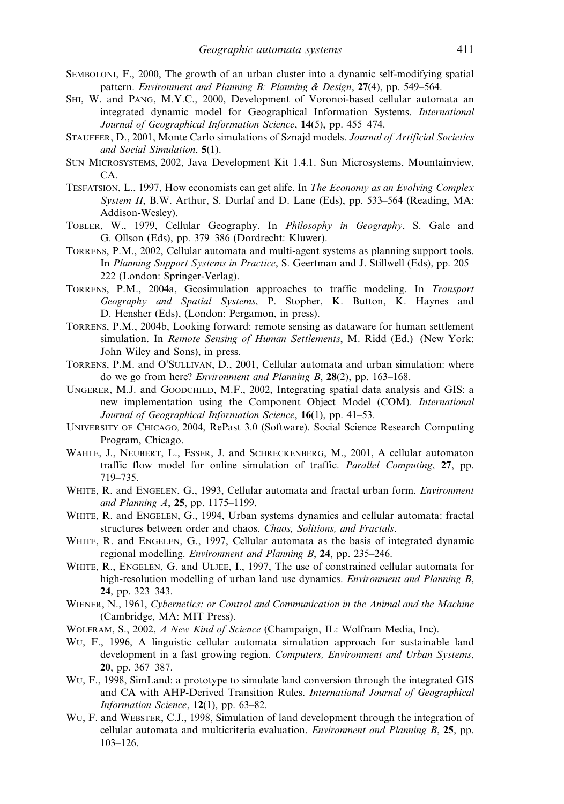- SEMBOLONI, F., 2000, The growth of an urban cluster into a dynamic self-modifying spatial pattern. Environment and Planning B: Planning & Design, 27(4), pp. 549–564.
- SHI, W. and PANG, M.Y.C., 2000, Development of Voronoi-based cellular automata–an integrated dynamic model for Geographical Information Systems. International Journal of Geographical Information Science, 14(5), pp. 455–474.
- STAUFFER, D., 2001, Monte Carlo simulations of Sznajd models. Journal of Artificial Societies and Social Simulation, 5(1).
- SUN MICROSYSTEMS, 2002, Java Development Kit 1.4.1. Sun Microsystems, Mountainview,  $CA$
- TESFATSION, L., 1997, How economists can get alife. In The Economy as an Evolving Complex System II, B.W. Arthur, S. Durlaf and D. Lane (Eds), pp. 533–564 (Reading, MA: Addison-Wesley).
- TOBLER, W., 1979, Cellular Geography. In Philosophy in Geography, S. Gale and G. Ollson (Eds), pp. 379–386 (Dordrecht: Kluwer).
- TORRENS, P.M., 2002, Cellular automata and multi-agent systems as planning support tools. In Planning Support Systems in Practice, S. Geertman and J. Stillwell (Eds), pp. 205– 222 (London: Springer-Verlag).
- TORRENS, P.M., 2004a, Geosimulation approaches to traffic modeling. In Transport Geography and Spatial Systems, P. Stopher, K. Button, K. Haynes and D. Hensher (Eds), (London: Pergamon, in press).
- TORRENS, P.M., 2004b, Looking forward: remote sensing as dataware for human settlement simulation. In Remote Sensing of Human Settlements, M. Ridd (Ed.) (New York: John Wiley and Sons), in press.
- TORRENS, P.M. and O'SULLIVAN, D., 2001, Cellular automata and urban simulation: where do we go from here? Environment and Planning B, 28(2), pp. 163–168.
- UNGERER, M.J. and GOODCHILD, M.F., 2002, Integrating spatial data analysis and GIS: a new implementation using the Component Object Model (COM). International Journal of Geographical Information Science, 16(1), pp. 41–53.
- UNIVERSITY OF CHICAGO, 2004, RePast 3.0 (Software). Social Science Research Computing Program, Chicago.
- WAHLE, J., NEUBERT, L., ESSER, J. and SCHRECKENBERG, M., 2001, A cellular automaton traffic flow model for online simulation of traffic. Parallel Computing, 27, pp. 719–735.
- WHITE, R. and ENGELEN, G., 1993, Cellular automata and fractal urban form. *Environment* and Planning A, 25, pp. 1175–1199.
- WHITE, R. and ENGELEN, G., 1994, Urban systems dynamics and cellular automata: fractal structures between order and chaos. Chaos, Solitions, and Fractals.
- WHITE, R. and ENGELEN, G., 1997, Cellular automata as the basis of integrated dynamic regional modelling. Environment and Planning B, 24, pp. 235–246.
- WHITE, R., ENGELEN, G. and ULJEE, I., 1997, The use of constrained cellular automata for high-resolution modelling of urban land use dynamics. *Environment and Planning B*, 24, pp. 323–343.
- WIENER, N., 1961, Cybernetics: or Control and Communication in the Animal and the Machine (Cambridge, MA: MIT Press).
- WOLFRAM, S., 2002, A New Kind of Science (Champaign, IL: Wolfram Media, Inc).
- WU, F., 1996, A linguistic cellular automata simulation approach for sustainable land development in a fast growing region. Computers, Environment and Urban Systems, 20, pp. 367–387.
- WU, F., 1998, SimLand: a prototype to simulate land conversion through the integrated GIS and CA with AHP-Derived Transition Rules. International Journal of Geographical Information Science, 12(1), pp. 63–82.
- WU, F. and WEBSTER, C.J., 1998, Simulation of land development through the integration of cellular automata and multicriteria evaluation. Environment and Planning B, 25, pp. 103–126.